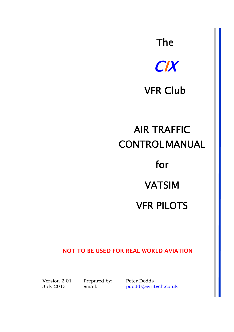## The



## VFR Club

# AIR TRAFFIC CONTROL MANUAL

## for

## VATSIM

## VFR PILOTS

## NOT TO BE USED FOR REAL WORLD AVIATION

Version 2.01 July 2013

Prepared by: Peter Dodds email: [pdodds@writech.co.uk](mailto:pdodds@writech.co.uk)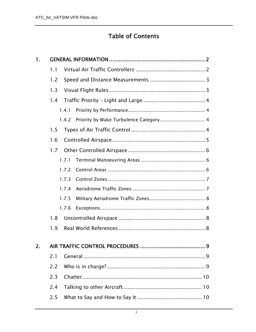## Table of Contents

| 1. |     |       |  |
|----|-----|-------|--|
|    | 1.1 |       |  |
|    | 1.2 |       |  |
|    | 1.3 |       |  |
|    | 1.4 |       |  |
|    |     | 1.4.1 |  |
|    |     | 1.4.2 |  |
|    | 1.5 |       |  |
|    | 1.6 |       |  |
|    | 1.7 |       |  |
|    |     | 1.7.1 |  |
|    |     | 1.7.2 |  |
|    |     | 1.7.3 |  |
|    |     | 1.7.4 |  |
|    |     | 1.7.5 |  |
|    |     | 1.7.6 |  |
|    | 1.8 |       |  |
|    | 1.9 |       |  |
| 2. |     |       |  |
|    | 2.1 |       |  |
|    | 2.2 |       |  |
|    | 2.3 |       |  |
|    | 2.4 |       |  |
|    | 2.5 |       |  |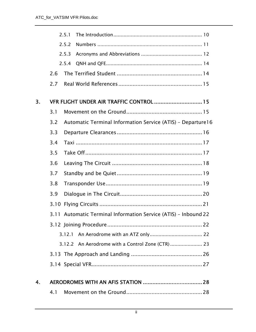|    |     | 2.5.1                                                           |
|----|-----|-----------------------------------------------------------------|
|    |     | 2.5.2                                                           |
|    |     | 2.5.3                                                           |
|    |     | 2.5.4                                                           |
|    | 2.6 |                                                                 |
|    | 2.7 |                                                                 |
| 3. |     | VFR FLIGHT UNDER AIR TRAFFIC CONTROL  15                        |
|    | 3.1 |                                                                 |
|    | 3.2 | Automatic Terminal Information Service (ATIS) - Departure16     |
|    | 3.3 |                                                                 |
|    | 3.4 |                                                                 |
|    | 3.5 |                                                                 |
|    | 3.6 |                                                                 |
|    | 3.7 |                                                                 |
|    | 3.8 |                                                                 |
|    | 3.9 |                                                                 |
|    |     |                                                                 |
|    |     | 3.11 Automatic Terminal Information Service (ATIS) - Inbound 22 |
|    |     |                                                                 |
|    |     | 3.12.1                                                          |
|    |     | 3.12.2 An Aerodrome with a Control Zone (CTR) 23                |
|    |     |                                                                 |
|    |     |                                                                 |
| 4. |     |                                                                 |
|    | 4.1 |                                                                 |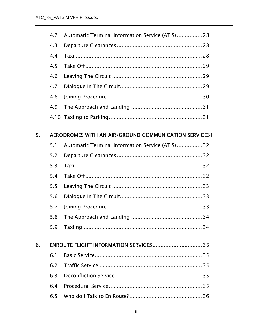|    | 4.2 | Automatic Terminal Information Service (ATIS) 28      |
|----|-----|-------------------------------------------------------|
|    | 4.3 |                                                       |
|    | 4.4 |                                                       |
|    | 4.5 |                                                       |
|    | 4.6 |                                                       |
|    | 4.7 |                                                       |
|    | 4.8 |                                                       |
|    | 4.9 |                                                       |
|    |     |                                                       |
| 5. |     |                                                       |
|    |     | AERODROMES WITH AN AIR/GROUND COMMUNICATION SERVICE31 |
|    | 5.1 | Automatic Terminal Information Service (ATIS) 32      |
|    | 5.2 |                                                       |
|    | 5.3 |                                                       |
|    | 5.4 |                                                       |
|    | 5.5 |                                                       |
|    | 5.6 |                                                       |
|    | 5.7 |                                                       |
|    | 5.8 |                                                       |
|    | 5.9 |                                                       |
| 6. |     | ENROUTE FLIGHT INFORMATION SERVICES 35                |
|    | 6.1 |                                                       |
|    | 6.2 |                                                       |
|    | 6.3 |                                                       |
|    | 6.4 |                                                       |
|    | 6.5 |                                                       |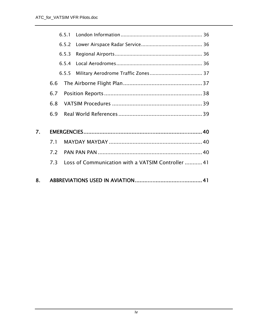|                  |     | 6.5.1 |                                                    |  |
|------------------|-----|-------|----------------------------------------------------|--|
|                  |     | 6.5.2 |                                                    |  |
|                  |     | 6.5.3 |                                                    |  |
|                  |     | 6.5.4 |                                                    |  |
|                  |     | 6.5.5 |                                                    |  |
|                  | 6.6 |       |                                                    |  |
|                  | 6.7 |       |                                                    |  |
|                  | 6.8 |       |                                                    |  |
|                  | 6.9 |       |                                                    |  |
| $\overline{7}$ . |     |       |                                                    |  |
|                  | 7.1 |       |                                                    |  |
|                  | 7.2 |       |                                                    |  |
|                  | 7.3 |       | Loss of Communication with a VATSIM Controller  41 |  |
| 8.               |     |       |                                                    |  |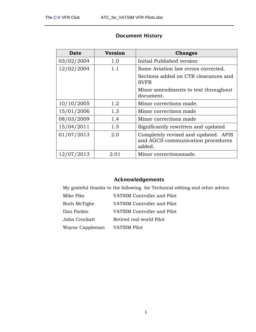| <b>Date</b> | <b>Version</b> | <b>Changes</b>                                                                      |
|-------------|----------------|-------------------------------------------------------------------------------------|
| 03/02/2004  | 1.0            | Initial Published version                                                           |
| 12/02/2004  | 1.1            | Some Aviation law errors corrected.                                                 |
|             |                | Sections added on CTR clearances and<br><b>SVFR</b>                                 |
|             |                | Minor amendments to text throughout<br>document.                                    |
| 10/10/2005  | 1.2            | Minor corrections made.                                                             |
| 15/01/2006  | 1.3            | Minor corrections made                                                              |
| 08/03/2009  | $1.4^{\circ}$  | Minor corrections made                                                              |
| 15/04/2011  | $1.5^{\circ}$  | Significantly rewritten and updated                                                 |
| 01/07/2013  | 2.0            | Completely revised and updated. AFIS<br>and AGCS communication procedures<br>added. |
| 12/07/2013  | 2.01           | Minor correctionsmade.                                                              |

### Document History

## Acknowledgements

My grateful thanks to the following for Technical editing and other advice.

| Mike Pike       | VATSIM Controller and Pilot |
|-----------------|-----------------------------|
| Ruth McTighe    | VATSIM Controller and Pilot |
| Dan Parkin      | VATSIM Controller and Pilot |
| John Crockatt   | Retired real world Pilot    |
| Wayne Cappleman | VATSIM Pilot                |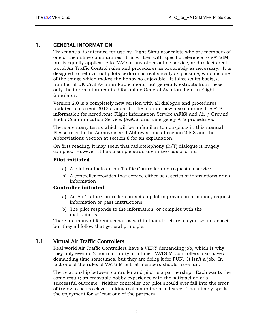#### <span id="page-6-0"></span>1. GENERAL INFORMATION

This manual is intended for use by Flight Simulator pilots who are members of one of the online communities. It is written with specific reference to VATSIM, but is equally applicable to IVAO or any other online service, and reflects real world Air Traffic Control rules and procedures as accurately as necessary. It is designed to help virtual pilots perform as realistically as possible, which is one of the things which makes the hobby so enjoyable. It takes as its basis, a number of UK Civil Aviation Publications, but generally extracts from these only the information required for online General Aviation flight in Flight Simulator.

Version 2.0 is a completely new version with all dialogue and procedures updated to current 2013 standard. The manual now also contains the ATS information for Aerodrome Flight Information Service (AFIS) and Air / Ground Radio Communication Service. (AGCS) and Emergency ATS procedures.

There are many terms which will be unfamiliar to non-pilots in this manual. Please refer to the Acronyms and Abbreviations at section [2.5.3](#page-16-1) and the Abbreviations Section at section [8](#page-45-1) for an explanation.

On first reading, it may seem that radiotelephony  $(R/T)$  dialogue is hugely complex. However, it has a simple structure in two basic forms.

#### **Pilot initiated**

- a) A pilot contacts an Air Traffic Controller and requests a service.
- b) A controller provides that service either as a series of instructions or as information

#### **Controller initiated**

- a) An Air Traffic Controller contacts a pilot to provide information, request information or pass instructions
- b) The pilot responds to the information, or complies with the instructions.

There are many different scenarios within that structure, as you would expect but they all follow that general principle.

#### 1.1 Virtual Air Traffic Controllers

Real world Air Traffic Controllers have a VERY demanding job, which is why they only ever do 2 hours on duty at a time. VATSIM Controllers also have a demanding time sometimes, but they are doing it for FUN. It isn't a job. In fact one of the rules of VATSIM is that members should have fun.

The relationship between controller and pilot is a partnership. Each wants the same result; an enjoyable hobby experience with the satisfaction of a successful outcome. Neither controller nor pilot should ever fall into the error of trying to be too clever; taking realism to the nth degree. That simply spoils the enjoyment for at least one of the partners.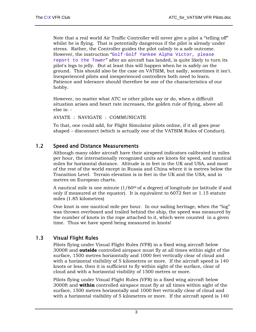<span id="page-7-0"></span>Note that a real world Air Traffic Controller will never give a pilot a "telling off" whilst he is flying. That is potentially dangerous if the pilot is already under stress. Rather, the Controller guides the pilot calmly to a safe outcome. However, the instruction "Golf-Golf Yankee Alpha Victor, please report to the Tower" after an aircraft has landed, is quite likely to turn its pilot's legs to jelly. But at least this will happen when he is safely on the ground. This should also be the case on VATSIM, but sadly, sometimes it isn't. Inexperienced pilots and inexperienced controllers both need to learn. Patience and tolerance should therefore be one of the characteristics of our hobby.

However, no matter what ATC or other pilots say or do, when a difficult situation arises and heart rate increases, the golden rule of flying, above all else is: -

AVIATE : NAVIGATE : COMMUNICATE

To that, one could add, for Flight Simulator pilots online, if it all goes pear shaped – disconnect (which is actually one of the VATSIM Rules of Conduct).

#### 1.2 Speed and Distance Measurements

Although many older aircraft have their airspeed indicators calibrated in miles per hour, the internationally recognized units are knots for speed, and nautical miles for horizontal distance. Altitude is in feet in the UK and USA, and most of the rest of the world except in Russia and China where it is metres below the Transition Level. Terrain elevation is in feet in the UK and the USA, and in metres on European charts.

A nautical mile is one minute  $(1/60<sup>th</sup>$  of a degree) of longitude (or latitude if and only if measured at the equator). It is equivalent to 6072 feet or 1.15 statute miles (1.85 kilometres)

One knot is one nautical mile per hour. In our sailing heritage, when the "log" was thrown overboard and trailed behind the ship, the speed was measured by the number of knots in the rope attached to it, which were counted in a given time. Thus we have speed being measured in knots!

#### <span id="page-7-1"></span>1.3 Visual Flight Rules

Pilots flying under Visual Flight Rules (VFR) in a fixed wing aircraft below 3000ft and **outside** controlled airspace must fly at all times within sight of the surface, 1500 metres horizontally and 1000 feet vertically clear of cloud and with a horizontal visibility of 5 kilometres or more. If the aircraft speed is 140 knots or less, then it is sufficient to fly within sight of the surface, clear of cloud and with a horizontal visibility of 1500 metres or more.

Pilots flying under Visual Flight Rules (VFR) in a fixed wing aircraft below 3000ft and **within** controlled airspace must fly at all times within sight of the surface, 1500 metres horizontally and 1000 feet vertically clear of cloud and with a horizontal visibility of 5 kilometres or more. If the aircraft speed is 140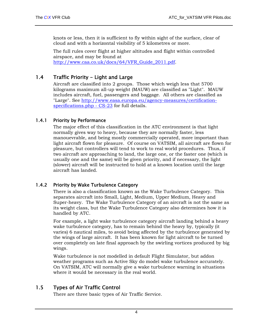<span id="page-8-0"></span>knots or less, then it is sufficient to fly within sight of the surface, clear of cloud and with a horizontal visibility of 5 kilometres or more.

The full rules cover flight at higher altitudes and flight within controlled airspace, and may be found at [http://www.caa.co.uk/docs/64/VFR\\_Guide\\_2011.pdf.](http://www.caa.co.uk/docs/64/VFR_Guide_2011.pdf)

#### 1.4 Traffic Priority - Light and Large

Aircraft are classified into 2 groups. Those which weigh less that 5700 kilograms maximum all-up weight (MAUW) are classified as "Light". MAUW includes aircraft, fuel, passengers and baggage. All others are classified as "Large". See [http://www.easa.europa.eu/agency-measures/certification](http://www.easa.europa.eu/agency-measures/certification-specifications.php#CS-23)[specifications.php - CS-23](http://www.easa.europa.eu/agency-measures/certification-specifications.php#CS-23) for full details.

#### 1.4.1 Priority by Performance

The major effect of this classification in the ATC environment is that light normally gives way to heavy, because they are normally faster, less manouevrable, and being mostly commercially operated, more important than light aircraft flown for pleasure. Of course on VATSIM, all aircraft are flown for pleasure, but controllers will tend to work to real world procedures. Thus, if two aircraft are approaching to land, the large one, or the faster one (which is usually one and the same) will be given priority, and if necessary, the light (slower) aircraft will be instructed to hold at a known location until the large aircraft has landed.

#### 1.4.2 Priority by Wake Turbulence Category

There is also a classification known as the Wake Turbulence Category. This separates aircraft into Small, Light, Medium, Upper Medium, Heavy and Super-heavy. The Wake Turbulence Category of an aircraft is not the same as its weight class, but the Wake Turbulence Category also determines how it is handled by ATC.

For example, a light wake turbulence category aircraft landing behind a heavy wake turbulence category, has to remain behind the heavy by, typically (it varies) 6 nautical miles, to avoid being affected by the turbulence generated by the wings of large aircraft. It has been known for light aircraft to be turned over completely on late final approach by the swirling vortices produced by big wings.

Wake turbulence is not modelled in default Flight Simulator, but addon weather programs such as Active Sky do model wake turbulence accurately. On VATSIM, ATC will normally give a wake turbulence warning in situations where it would be necessary in the real world.

## <span id="page-8-1"></span>1.5 Types of Air Traffic Control

There are three basic types of Air Traffic Service.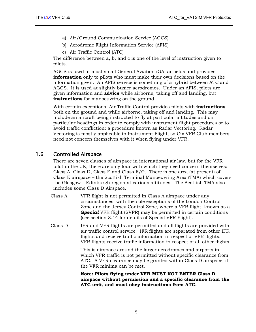- <span id="page-9-0"></span>a) Air/Ground Communication Service (AGCS)
- b) Aerodrome Flight Information Service (AFIS)
- c) Air Traffic Control (ATC)

The difference between a, b, and c is one of the level of instruction given to pilots.

AGCS is used at most small General Aviation (GA) airfields and provides **information** only to pilots who must make their own decisions based on the information given. An AFIS service is something of a hybrid between ATC and AGCS. It is used at slightly busier aerodromes. Under an AFIS, pilots are given information and **advice** while airborne, taking off and landing, but **instructions** for manoeuvring on the ground.

With certain exceptions, Air Traffic Control provides pilots with **instructions** both on the ground and while airborne, taking off and landing. This may include an aircraft being instructed to fly at particular altitudes and on particular headings in order to comply with instrument flight procedures or to avoid traffic confliction; a procedure known as Radar Vectoring. Radar Vectoring is mostly applicable to Instrument Flight, so Cix VFR Club members need not concern themselves with it when flying under VFR.

### <span id="page-9-1"></span>1.6 Controlled Airspace

There are seven classes of airspace in international air law, but for the VFR pilot in the UK, there are only four with which they need concern themselves: - Class A, Class D, Class E and Class  $F/G$ . There is one area (at present) of Class E airspace – the Scottish Terminal Manoeuvring Area (TMA) which covers the Glasgow – Edinburgh region at various altitudes. The Scottish TMA also includes some Class D Airspace.

- Class A VFR flight is not permitted in Class A airspace under any circumstances, with the sole exceptions of the London Control Zone and the Jersey Control Zone, where a VFR flight, known as a **Special** VFR flight (SVFR) may be permitted in certain conditions (see section [3.14](#page-31-1) for details of Special VFR Flight).
- Class D IFR and VFR flights are permitted and all flights are provided with air traffic control service. IFR flights are separated from other IFR flights and receive traffic information in respect of VFR flights. VFR flights receive traffic information in respect of all other flights.

This is airspace around the larger aerodromes and airports in which VFR traffic is not permitted without specific clearance from ATC. A VFR clearance may be granted within Class D airspace, if the VFR minima can be met.

**Note: Pilots flying under VFR MUST NOT ENTER Class D airspace without permission and a specific clearance from the ATC unit, and must obey instructions from ATC.**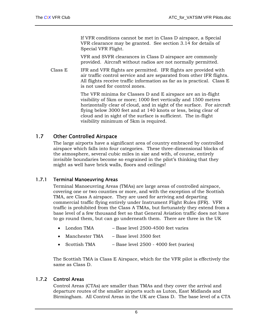If VFR conditions cannot be met in Class D airspace, a Special VFR clearance may be granted. See section [3.14](#page-31-1) for details of Special VFR Flight.

VFR and SVFR clearances in Class D airspace are commonly provided. Aircraft without radios are not normally permitted.

<span id="page-10-0"></span>Class E IFR and VFR flights are permitted. IFR flights are provided with air traffic control service and are separated from other IFR flights. All flights receive traffic information as far as is practical. Class E is not used for control zones.

> The VFR minima for Classes D and E airspace are an in-flight visibility of 5km or more; 1000 feet vertically and 1500 metres horizontally clear of cloud, and in sight of the surface. For aircraft flying below 3000 feet and at 140 knots or less, being clear of cloud and in sight of the surface is sufficient. The in-flight visibility minimum of 5km is required.

#### 1.7 Other Controlled Airspace

The large airports have a significant area of country embraced by controlled airspace which falls into four categories. These three-dimensional blocks of the atmosphere, several cubic miles in size and with, of course, entirely invisible boundaries become so engrained in the pilot's thinking that they might as well have brick walls, floors and ceilings!

#### 1.7.1 Terminal Manoeuvring Areas

Terminal Manoeuvring Areas (TMAs) are large areas of controlled airspace, covering one or two counties or more, and with the exception of the Scottish TMA, are Class A airspace. They are used for arriving and departing commercial traffic flying entirely under Instrument Flight Rules (IFR). VFR traffic is prohibited from the Class A TMAs, but fortunately they extend from a base level of a few thousand feet so that General Aviation traffic does not have to go round them, but can go underneath them. There are three in the UK

- London TMA Base level 2500-4500 feet varies
- Manchester TMA Base level 3500 feet
- Scottish TMA Base level 2500 4000 feet (varies)

The Scottish TMA is Class E Airspace, which for the VFR pilot is effectively the same as Class D.

#### 1.7.2 Control Areas

Control Areas (CTAs) are smaller than TMAs and they cover the arrival and departure routes of the smaller airports such as Luton, East Midlands and Birmingham. All Control Areas in the UK are Class D. The base level of a CTA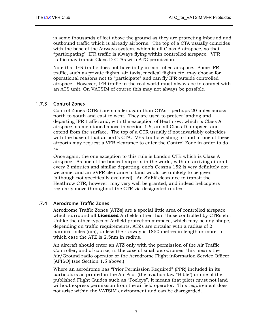<span id="page-11-0"></span>is some thousands of feet above the ground as they are protecting inbound and outbound traffic which is already airborne. The top of a CTA usually coincides with the base of the Airways system, which is all Class A airspace, so that "participating" IFR traffic is always flying within controlled airspace. VFR traffic may transit Class D CTAs with ATC permission.

Note that IFR traffic does not have to fly in controlled airspace. Some IFR traffic, such as private flights, air taxis, medical flights etc. may choose for operational reasons not to "participate" and can fly IFR outside controlled airspace. However, IFR traffic in the real world must always be in contact with an ATS unit. On VATSIM of course this may not always be possible.

#### 1.7.3 Control Zones

Control Zones (CTRs) are smaller again than CTAs – perhaps 20 miles across north to south and east to west. They are used to protect landing and departing IFR traffic and, with the exception of Heathrow, which is Class A airspace, as mentioned above in section [1.6](#page-9-1), are all Class D airspace, and extend from the surface. The top of a CTR usually if not invariably coincides with the base of that airport's CTA. VFR traffic wishing to land at one of these airports may request a VFR clearance to enter the Control Zone in order to do so.

Once again, the one exception to this rule is London CTR which is Class A airspace. As one of the busiest airports in the world, with an arriving aircraft every 2 minutes and similar departing, one's Cessna 152 is very definitely not welcome, and an SVFR clearance to land would be unlikely to be given (although not specifically excluded). An SVFR clearance to transit the Heathrow CTR, however, may very well be granted, and indeed helicopters regularly move throughout the CTR via designated routes.

#### 1.7.4 Aerodrome Traffic Zones

Aerodrome Traffic Zones (ATZs) are a special little area of controlled airspace which surround all **Licensed** Airfields other than those controlled by CTRs etc. Unlike the other types of Airfield protection airspace, which may be any shape, depending on traffic requirements, ATZs are circular with a radius of 2 nautical miles (nm), unless the runway is 1850 metres in length or more, in which case the ATZ is 2.5nm in radius.

An aircraft should enter an ATZ only with the permission of the Air Traffic Controller, and of course, in the case of small aerodromes, this means the Air/Ground radio operator or the Aerodrome Flight information Service Officer (AFISO) (see Section [1.5](#page-8-1) above.)

Where an aerodrome has "Prior Permission Required" (PPR) included in its particulars as printed in the Air Pilot (the aviation law "Bible") or one of the published Flight Guides such as "Pooleys", it means that pilots must not land without express permission from the airfield operator. This requirement does not arise within the VATSIM environment and can be disregarded.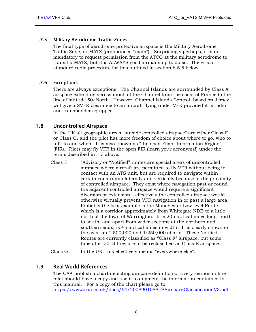#### <span id="page-12-0"></span>1.7.5 Military Aerodrome Traffic Zones

The final type of aerodrome protective airspace is the Military Aerodrome Traffic Zone, or MATZ (pronounced "mats"). Surprisingly perhaps, it is not mandatory to request permission from the ATCO at the military aerodrome to transit a MATZ, but it is ALWAYS good airmanship to do so. There is a standard radio procedure for this outlined in section [6.5.5](#page-41-1) below.

#### 1.7.6 Exceptions

There are always exceptions. The Channel Islands are surrounded by Class A airspace extending across much of the Channel from the coast of France to the line of latitude 50o North. However, Channel Islands Control, based on Jersey will give a SVFR clearance to an aircraft flying under VFR provided it is radio and transponder equipped.

#### 1.8 Uncontrolled Airspace

In the UK all geographic areas "outside controlled airspace" are either Class F or Class G, and the pilot has more freedom of choice about where to go, who to talk to and when. It is also known as "the open Flight Information Region" (FIR). Pilots may fly VFR in the open FIR (learn your acronyms!) under the terms described in [1.3](#page-7-1) above.

Class F "Advisory or "Notified" routes are special areas of uncontrolled airspace where aircraft are permitted to fly VFR without being in contact with an ATS unit, but are required to navigate within certain constraints laterally and vertically because of the proximity of controlled airspace. They exist where navigation past or round the adjacent controlled airspace would require a significant diversion or extension – effectively the controlled airspace would otherwise virtually prevent VFR navigation in or past a large area. Probably the best example is the Manchester Low level Route which is a corridor approximately from Whitegate NDB to a little north of the town of Warrington. It is 20 nautical miles long, north to south, and apart from wider sections at the northern and southern ends, is 4 nautical miles in width. It is clearly shown on the aviation 1:500,000 and 1:250,000 charts. These Notified Routes are currently classified as "Class F" airspace, but some time after 2013 they are to be reclassified as Class E airspace.

Class G In the UK, this effectively means "everywhere else".

#### 1.9 Real World References

The CAA publish a chart depicting airspace definitions. Every serious online pilot should have a copy and use it to augment the information contained in this manual. For a copy of the chart please go to <https://www.caa.co.uk/docs/64/200890108ATSAirspaceClassificationV3.pdf>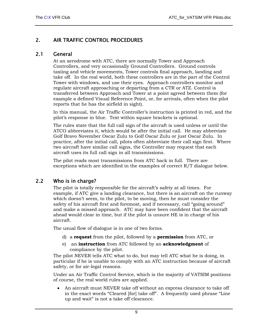## <span id="page-13-0"></span>2. AIR TRAFFIC CONTROL PROCEDURES

#### 2.1 General

At an aerodrome with ATC, there are normally Tower and Approach Controllers, and very occasionally Ground Controllers. Ground controls taxiing and vehicle movements, Tower controls final approach, landing and take off. In the real world, both these controllers are in the part of the Control Tower with windows, and use their eyes. Approach controllers monitor and regulate aircraft approaching or departing from a CTR or ATZ. Control is transferred between Approach and Tower at a point agreed between them (for example a defined Visual Reference Point, or, for arrivals, often when the pilot reports that he has the airfield in sight).

In this manual, the Air Traffic Controller's instruction is printed in red, and the pilot's response in blue. Text within square brackets is optional.

The rules state that the full call sign of the aircraft is used unless or until the ATCO abbreviates it, which would be after the initial call. He may abbreviate Golf Bravo November Oscar Zulu to Golf Oscar Zulu or just Oscar Zulu. In practice, after the initial call, pilots often abbreviate their call sign first. Where two aircraft have similar call signs, the Controller may request that each aircraft uses its full call sign in all transmissions.

The pilot reads most transmissions from ATC back in full. There are exceptions which are identified in the examples of correct R/T dialogue below.

#### 2.2 Who is in charge?

The pilot is totally responsible for the aircraft's safety at all times. For example, if ATC give a landing clearance, but there is an aircraft on the runway which doesn't seem, to the pilot, to be moving, then he must consider the safety of his aircraft first and foremost, and if necessary, call "going around" and make a missed approach. ATC may have been confident that the aircraft ahead would clear in time, but if the pilot is unsure HE is in charge of his aircraft.

The usual flow of dialogue is in one of two forms.

- d) a **request** from the pilot, followed by a **permission** from ATC, or
- e) an **instruction** from ATC followed by an **acknowledgment** of compliance by the pilot.

The pilot NEVER tells ATC what to do, but may tell ATC what he is doing, in particular if he is unable to comply with an ATC instruction because of aircraft safety, or for air-legal reasons.

Under an Air Traffic Control Service, which is the majority of VATSIM positions of course, the real world rules are applied.

• An aircraft must NEVER take off without an express clearance to take off in the exact words "Cleared [for] take off". A frequently used phrase "Line up and wait" is not a take off clearance.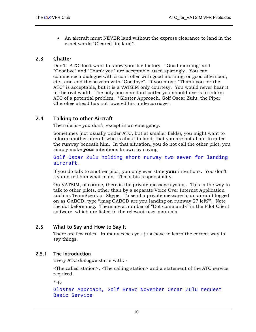• An aircraft must NEVER land without the express clearance to land in the exact words "Cleared [to] land".

#### <span id="page-14-0"></span>2.3 Chatter

Don't! ATC don't want to know your life history. "Good morning" and "Goodbye" and "Thank you" are acceptable, used sparingly. You can commence a dialogue with a controller with good morning, or good afternoon, etc., and end the session with "Goodbye". If you must; "Thank you for the ATC" is acceptable, but it is a VATSIM only courtesy. You would never hear it in the real world. The only non-standard patter you should use is to inform ATC of a potential problem. "Gloster Approach, Golf Oscar Zulu, the Piper Cherokee ahead has not lowered his undercarriage".

#### 2.4 Talking to other Aircraft

The rule is – you don't, except in an emergency.

Sometimes (not usually under ATC, but at smaller fields), you might want to inform another aircraft who is about to land, that you are not about to enter the runway beneath him. In that situation, you do not call the other pilot, you simply make **your** intentions known by saying

Golf Oscar Zulu holding short runway two seven for landing aircraft.

If you do talk to another pilot, you only ever state **your** intentions. You don't try and tell him what to do. That's his responsibility.

On VATSIM, of course, there is the private message system. This is the way to talk to other pilots, other than by a separate Voice Over Internet Application such as TeamSpeak or Skype. To send a private message to an aircraft logged on as GABCD, type ".msg GABCD are you landing on runway 27 left?". Note the dot before msg. There are a number of "Dot commands" in the Pilot Client software which are listed in the relevant user manuals.

#### 2.5 What to Say and How to Say It

There are few rules. In many cases you just have to learn the correct way to say things.

#### 2.5.1 The Introduction

Every ATC dialogue starts with: -

<The called station>, <The calling station> and a statement of the ATC service required.

E.g.

```
Gloster Approach, Golf Bravo November Oscar Zulu request 
Basic Service
```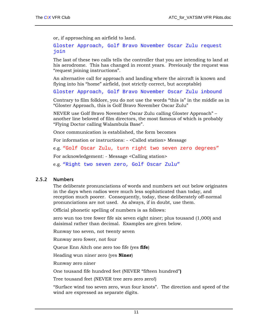<span id="page-15-0"></span>or, if approaching an airfield to land.

Gloster Approach, Golf Bravo November Oscar Zulu request join

The last of these two calls tells the controller that you are intending to land at his aerodrome. This has changed in recent years. Previously the request was "request joining instructions".

An alternative call for approach and landing where the aircraft is known and flying into his "home" airfield, (not strictly correct, but acceptable)

Gloster Approach, Golf Bravo November Oscar Zulu inbound

Contrary to film folklore, you do not use the words "this is" in the middle as in "Gloster Approach, this is Golf Bravo November Oscar Zulu"

NEVER use Golf Bravo November Oscar Zulu calling Gloster Approach" – another line beloved of film directors, the most famous of which is probably "Flying Doctor calling Walambula Base".

Once communication is established, the form becomes

For information or instructions: - <Called station> Message

e.g. "Golf Oscar Zulu, turn right two seven zero degrees"

For acknowledgement: - Message <Calling station>

e.g. "Right two seven zero, Golf Oscar Zulu"

#### 2.5.2 Numbers

The deliberate pronunciations of words and numbers set out below originates in the days when radios were much less sophisticated than today, and reception much poorer. Consequently, today, these deliberately off-normal pronunciations are not used. As always, if in doubt, use them.

Official phonetic spelling of numbers is as follows:

zero wun too tree fower fife six seven eight niner; plus tousand (1,000) and daisimal rather than decimal. Examples are given below.

Runway too seven, not twenty seven

Runway zero fower, not four

Queue Enn Aitch one zero too fife (yes **fife**)

Heading wun niner zero (yes **Niner**)

Runway zero niner

One tousand fife hundred feet (NEVER "fifteen hundred"**)**

Tree tousand feet (NEVER tree zero zero zero!)

"Surface wind too seven zero, wun four knots". The direction and speed of the wind are expressed as separate digits.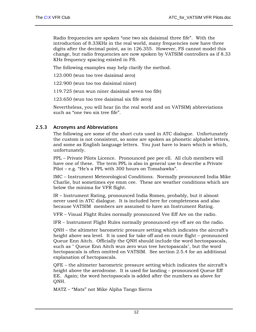<span id="page-16-0"></span>Radio frequencies are spoken "one two six daisimal three fife". With the introduction of 8.33KHz in the real world, many frequencies now have three digits after the decimal point, as in 126.355. However, FS cannot model this change, but radio frequencies are now spoken by VATSIM controllers as if 8.33 KHz frequency spacing existed in FS.

The following examples may help clarify the method.

123.000 (wun too tree daisimal zero)

122.900 (wun too too daisimal niner)

119.725 (wun wun niner daisimal seven too fife)

123.650 (wun too tree daisimal six fife zero)

Nevertheless, you will hear (in the real world and on VATSIM) abbreviations such as "one two six tree fife".

#### <span id="page-16-1"></span>2.5.3 Acronyms and Abbreviations

The following are some of the short cuts used in ATC dialogue. Unfortunately the custom is not consistent, so some are spoken as phonetic alphabet letters, and some as English language letters. You just have to learn which is which, unfortunately.

PPL – Private Pilots Licence. Pronounced pee pee ell. All club members will have one of these. The term PPL is also in general use to describe a Private Pilot – e.g. "He's a PPL with 300 hours on Tomahawks".

IMC – Instrument Meteorological Conditions. Normally pronounced India Mike Charlie, but sometimes eye emm cee. These are weather conditions which are below the minima for VFR flight.

IR – Instrument Rating, pronounced India Romeo, probably, but it almost never used in ATC dialogue. It is included here for completeness and also because VATSIM members are assumed to have an Instrument Rating.

VFR – Visual Flight Rules normally pronounced Vee Eff Are on the radio.

IFR – Instrument Flight Rules normally pronounced eye eff are on the radio.

QNH – the altimeter barometric pressure setting which indicates the aircraft's height above sea level. It is used for take off and en route flight – pronounced Queue Enn Aitch. Officially the QNH should include the word hectospascals, such as " Queue Enn Aitch wun zero wun tree hectopascals", but the word hectopascals is often omitted on VATSIM. See section [2.5.4](#page-18-1) for an additional explanation of hectopascals.

QFE – the altimeter barometric pressure setting which indicates the aircraft's height above the aerodrome. It is used for landing – pronounced Queue Eff EE. Again; the word hectopascals is added after the numbers as above for QNH.

MATZ – "Mats" not Mike Alpha Tango Sierra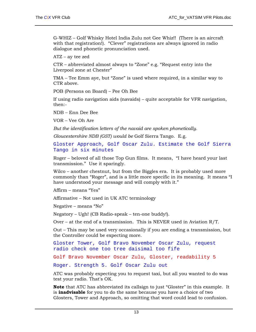G-WHIZ – Golf Whisky Hotel India Zulu not Gee Whiz!! (There is an aircraft with that registration!). "Clever" registrations are always ignored in radio dialogue and phonetic pronunciation used.

ATZ – ay tee zed

CTR – abbreviated almost always to "Zone" e.g. "Request entry into the Liverpool zone at Chester"

TMA – Tee Emm aye, but "Zone" is used where required, in a similar way to CTR above.

POB (Persons on Board) – Pee Oh Bee

If using radio navigation aids (navaids) – quite acceptable for VFR navigation, then:-

NDB – Enn Dee Bee

VOR – Vee Oh Are

*But the identification letters of the navaid are spoken phonetically.* 

*Gloucestershire NDB (GST) would be* Golf Sierra Tango. E.g.

Gloster Approach, Golf Oscar Zulu. Estimate the Golf Sierra Tango in six minutes

Roger – beloved of all those Top Gun films. It means, "I have heard your last transmission." Use it sparingly.

Wilco – another chestnut, but from the Biggles era. It is probably used more commonly than "Roger", and is a little more specific in its meaning. It means "I have understood your message and will comply with it."

Affirm – means "Yes"

Affirmative – Not used in UK ATC terminology

Negative – means "No"

Negatory – Ugh! (CB Radio-speak – ten-one buddy!).

Over – at the end of a transmission. This is NEVER used in Aviation R/T.

Out – This may be used very occasionally if you are ending a transmission, but the Controller could be expecting more.

Gloster Tower, Golf Bravo November Oscar Zulu, request radio check one too tree daisimal too fife

Golf Bravo November Oscar Zulu, Gloster, readability 5

Roger. Strength 5. Golf Oscar Zulu out

ATC was probably expecting you to request taxi, but all you wanted to do was test your radio. That's OK.

**Note** that ATC has abbreviated its callsign to just "Gloster" in this example. It is **inadvisable** for you to do the same because you have a choice of two Glosters, Tower and Approach, so omitting that word could lead to confusion.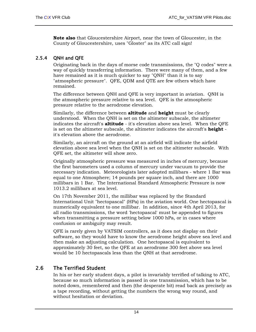<span id="page-18-0"></span>**Note also** that Gloucestershire Airport, near the town of Gloucester, in the County of Gloucestershire, uses "Gloster" as its ATC call sign!

#### <span id="page-18-1"></span>2.5.4 QNH and QFE

Originating back in the days of morse code transmissions, the "Q codes" were a way of quickly transferring information. There were many of them, and a few have remained as it is much quicker to say "QNH" than it is to say "atmospheric pressure". QFE, QDM and QTE are few others which have remained.

The difference between QNH and QFE is very important in aviation. QNH is the atmospheric pressure relative to sea level. QFE is the atmospheric pressure relative to the aerodrome elevation.

Similarly, the difference between **altitude** and **height** must be clearly understood. When the QNH is set on the altimeter subscale, the altimeter indicates the aircraft's **altitude** - it's elevation above sea level. When the QFE is set on the altimeter subscale, the altimeter indicates the aircraft's **height** it's elevation above the aerodrome.

Similarly, an aircraft on the ground at an airfield will indicate the airfield elevation above sea level when the QNH is set on the altimeter subscale. With QFE set, the altimeter will show zero.

Originally atmospheric pressure was measured in inches of mercury, because the first barometers used a column of mercury under vacuum to provide the necessary indication. Meteorologists later adopted millibars - where 1 Bar was equal to one Atmosphere; 14 pounds per square inch, and there are 1000 millibars in 1 Bar. The International Standard Atmospheric Pressure is now 1013.2 millibars at sea level.

On 17th November 2011, the millibar was replaced by the Standard International Unit "hectopascal" (HPa) in the aviation world. One hectopascal is numerically equivalent to one millibar. In addition, since 4th April 2013, for all radio transmissions, the word 'hectopascal' must be appended to figures when transmitting a pressure setting below 1000 hPa, or in cases where confusion or ambiguity may result.

QFE is rarely given by VATSIM controllers, as it does not display on their software, so they would have to know the aerodrome height above sea level and then make an adjusting calculation. One hectopascal is equivalent to approximately 30 feet, so the QFE at an aerodrome 300 feet above sea level would be 10 hectopascals less than the QNH at that aerodrome.

## 2.6 The Terrified Student

In his or her early student days, a pilot is invariably terrified of talking to ATC, because so much information is passed in one transmission, which has to be noted down, remembered and then (the desperate bit) read back as precisely as a tape recording, without getting the numbers the wrong way round, and without hesitation or deviation.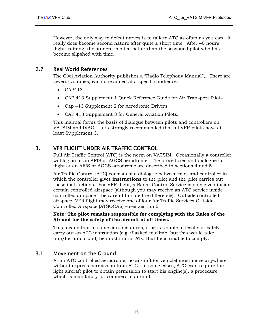<span id="page-19-0"></span>However, the only way to defeat nerves is to talk to ATC as often as you can. it really does become second nature after quite a short time. After 40 hours flight training, the student is often better than the seasoned pilot who has become slipshod with time.

#### 2.7 Real World References

The Civil Aviation Authority publishes a "Radio Telephony Manual",. There are several volumes, each one aimed at a specific audience.

- CAP413
- CAP 413 Supplement 1 Quick Reference Guide for Air Transport Pilots
- Cap 413 Supplement 2 for Aerodrome Drivers
- CAP 413 Supplement 3 for General Aviation Pilots.

This manual forms the basis of dialogue between pilots and controllers on VATSIM and IVAO. It is strongly recommended that all VFR pilots have at least Supplement 3.

### 3. VFR FLIGHT UNDER AIR TRAFFIC CONTROL

Full Air Traffic Control (ATC) is the norm on VATSIM. Occasionally a controller will log on at an AFIS or AGCS aerodrome. The procedures and dialogue for flight at an AFIS or AGCS aerodrome are described in sections [4](#page-32-1) and [5.](#page-35-1)

Air Traffic Control (ATC) consists of a dialogue between pilot and controller in which the controller gives **instructions** to the pilot and the pilot carries out these instructions. For VFR flight, a Radar Control Service is only given inside certain controlled airspace (although you may receive an ATC service inside controlled airspace – be careful to note the difference). Outside controlled airspace, VFR flight may receive one of four Air Traffic Services Outside Controlled Airspace (ATSOCAS) – see Section [6.](#page-39-1)

#### **Note: The pilot remains responsible for complying with the Rules of the Air and for the safety of the aircraft at all times.**

This means that in some circumstances, if he is unable to legally or safely carry out an ATC instruction (e.g. if asked to climb, but this would take him/her into cloud) he must inform ATC that he is unable to comply.

#### 3.1 Movement on the Ground

At an ATC controlled aerodrome, no aircraft (or vehicle) must move anywhere without express permission from ATC. In some cases, ATC even require the light aircraft pilot to obtain permission to start his engine(s), a procedure which is mandatory for commercial aircraft.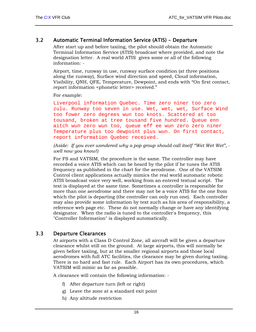#### <span id="page-20-0"></span>3.2 Automatic Terminal Information Service (ATIS) - Departure

After start up and before taxiing, the pilot should obtain the Automatic Terminal Information Service (ATIS) broadcast where provided, and note the designation letter. A real world ATIS gives some or all of the following information: -

Airport, time, runway in use, runway surface condition (at three positions along the runway), Surface wind direction and speed, Cloud information, Visibility, QNH, QFE, Temperature, Dewpoint, and ends with "On first contact, report information <phonetic letter> received."

For example:

Liverpool information Quebec. Time zero niner too zero zulu. Runway too seven in use. Wet, wet, wet, Surface Wind too fower zero degrees wun too knots. Scattered at too tousand, broken at tree tousand five hundred. Queue enn aitch wun zero wun too, queue eff ee wun zero zero niner Temperature plus too dewpoint plus wun. On first contact, report information Quebec received.

*(Aside: If you ever wondered why a pop group should call itself "Wet Wet Wet", well now you know!)*

For FS and VATSIM, the procedure is the same. The controller may have recorded a voice ATIS which can be heard by the pilot if he tunes the ATIS frequency as published in the chart for the aerodrome. One of the VATSIM Control client applications actually mimics the real world automatic robotic ATIS broadcast voice very well, working from an entered textual script. The text is displayed at the same time. Sometimes a controller is responsible for more than one aerodrome and there may not be a voice ATIS for the one from which the pilot is departing (the controller can only run one). Each controller may also provide some information by text such as his area of responsibility, a reference web page etc. These do not normally change or have any identifying designator. When the radio is tuned to the controller's frequency, this "Controller Information" is displayed automatically.

#### 3.3 Departure Clearances

At airports with a Class D Control Zone, all aircraft will be given a departure clearance whilst still on the ground. At large airports, this will normally be given before taxiing, but at the smaller regional airports and those local aerodromes with full ATC facilities, the clearance may be given during taxiing. There is no hard and fast rule. Each Airport has its own procedures, which VATSIM will mimic as far as possible.

A clearance will contain the following information: -

- f) After departure turn (left or right)
- g) Leave the zone at a standard exit point
- h) Any altitude restriction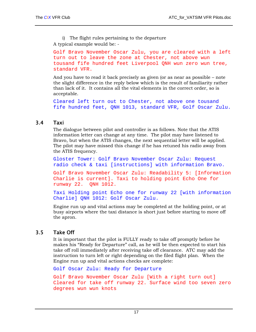<span id="page-21-0"></span>i) The flight rules pertaining to the departure A typical example would be: -

Golf Bravo November Oscar Zulu, you are cleared with a left turn out to leave the zone at Chester, not above wun tousand fife hundred feet Liverpool QNH wun zero wun tree, standard VFR.

And you have to read it back precisely as given (or as near as possible – note the slight difference in the reply below which is the result of familiarity rather than lack of it. It contains all the vital elements in the correct order, so is acceptable.

Cleared left turn out to Chester, not above one tousand fife hundred feet, QNH 1013, standard VFR, Golf Oscar Zulu.

#### 3.4 Taxi

The dialogue between pilot and controller is as follows. Note that the ATIS information letter can change at any time. The pilot may have listened to Bravo, but when the ATIS changes, the next sequential letter will be applied. The pilot may have missed this change if he has retuned his radio away from the ATIS frequency.

Gloster Tower: Golf Bravo November Oscar Zulu: Request radio check & taxi [instructions] with information Bravo.

Golf Bravo November Oscar Zulu: Readability 5: [Information Charlie is current]. Taxi to holding point Echo One for runway 22. QNH 1012.

Taxi Holding point Echo one for runway 22 [with information Charlie] QNH 1012: Golf Oscar Zulu.

Engine run up and vital actions may be completed at the holding point, or at busy airports where the taxi distance is short just before starting to move off the apron.

#### 3.5 Take Off

It is important that the pilot is FULLY ready to take off promptly before he makes his "Ready for Departure" call, as he will be then expected to start his take off roll immediately after receiving take off clearance. ATC may add the instruction to turn left or right depending on the filed flight plan. When the Engine run up and vital actions checks are complete:

Golf Oscar Zulu: Ready for Departure

Golf Bravo November Oscar Zulu [With a right turn out] Cleared for take off runway 22. Surface wind too seven zero degrees wun wun knots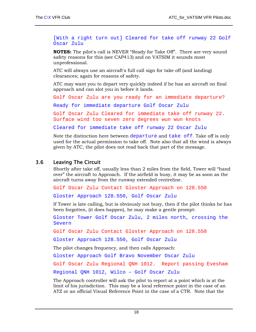#### <span id="page-22-0"></span>[With a right turn out] Cleared for take off runway 22 Golf Oscar Zulu

**NOTES:** The pilot's call is NEVER "Ready for Take Off". There are very sound safety reasons for this (see CAP413) and on VATSIM it sounds most unprofessional.

ATC will always use an aircraft's full call sign for take off (and landing) clearances; again for reasons of safety.

ATC may want you to depart very quickly indeed if he has an aircraft on final approach and can slot you in before it lands.

Golf Oscar Zulu are you ready for an immediate departure?

Ready for immediate departure Golf Oscar Zulu

Golf Oscar Zulu Cleared for immediate take off runway 22. Surface wind too seven zero degrees wun wun knots

Cleared for immediate take off runway 22 Oscar Zulu

Note the distinction here between departure and take off. Take off is only used for the actual permission to take off. Note also that all the wind is always given by ATC, the pilot does not read back that part of the message.

#### 3.6 Leaving The Circuit

Shortly after take off, usually less than 2 miles from the field, Tower will "hand over" the aircraft to Approach. If the airfield is busy, it may be as soon as the aircraft turns away from the runway extended centreline.

Golf Oscar Zulu Contact Gloster Approach on 128.550

Gloster Approach 128.550, Golf Oscar Zulu

If Tower is late calling, but is obviously not busy, then if the pilot thinks he has been forgotten, (it does happen), he may make a gentle prompt:

Gloster Tower Golf Oscar Zulu, 2 miles north, crossing the Severn

Golf Oscar Zulu Contact Gloster Approach on 128.550

Gloster Approach 128.550, Golf Oscar Zulu

The pilot changes frequency, and then calls Approach:

Gloster Approach Golf Bravo November Oscar Zulu

Golf Oscar Zulu Regional QNH 1012. Report passing Evesham Regional QNH 1012, Wilco – Golf Oscar Zulu

The Approach controller will ask the pilot to report at a point which is at the limit of his jurisdiction. This may be a local reference point in the case of an ATZ or an official Visual Reference Point in the case of a CTR. Note that the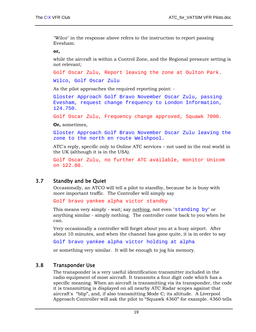<span id="page-23-0"></span>"Wilco" in the response above refers to the instruction to report passing Evesham.

#### **or,**

while the aircraft is within a Control Zone, and the Regional pressure setting is not relevant;

Golf Oscar Zulu, Report leaving the zone at Oulton Park.

Wilco, Golf Oscar Zulu

As the pilot approaches the required reporting point: -

Gloster Approach Golf Bravo November Oscar Zulu, passing Evesham, request change frequency to London Information, 124.750.

Golf Oscar Zulu, Frequency change approved, Squawk 7000.

#### **Or,** sometimes,

Gloster Approach Golf Bravo November Oscar Zulu leaving the zone to the north en route Welshpool.

ATC's reply, specific only to Online ATC services – not used in the real world in the UK (although it is in the USA).

Golf Oscar Zulu, no further ATC available, monitor Unicom on 122.80.

#### 3.7 Standby and be Quiet

Occasionally, an ATCO will tell a pilot to standby, because he is busy with more important traffic. The Controller will simply say

Golf bravo yankee alpha victor standby

This means very simply - wait; say nothing, not even "standing by" or anything similar - simply nothing. The controller come back to you when he can.

Very occasionally a controller will forget about you at a busy airport. After about 10 minutes, and when the channel has gone quite, it is in order to say

Golf bravo yankee alpha victor holding at alpha

or something very similar. It will be enough to jog his memory.

#### 3.8 Transponder Use

The transponder is a very useful identification transmitter included in the radio equipment of most aircraft. It transmits a four digit code which has a specific meaning. When an aircraft is transmitting via its transponder, the code it is transmitting is displayed on all nearby ATC Radar scopes against that aircraft's "blip", and, if also transmitting Mode C; its altitude. A Liverpool Approach Controller will ask the pilot to "Squawk 4360" for example. 4360 tells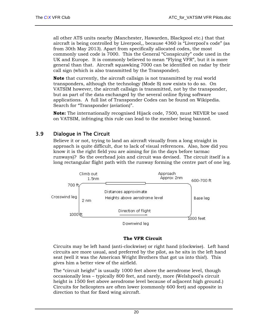<span id="page-24-0"></span>all other ATS units nearby (Manchester, Hawarden, Blackpool etc.) that that aircraft is being controlled by Liverpool,, because 4360 is "Liverpool's code" (as from 30th May 2013). Apart from specifically allocated codes, the most commonly used code is 7000. This the General "Conspicuity" code used in the UK and Europe. It is commonly believed to mean "Flying VFR", but it is more general than that. Aircraft squawking 7000 can be identified on radar by their call sign (which is also transmitted by the Transponder).

**Note** that currently, the aircraft callsign is not transmitted by real world transponders, although the technology (Mode S) now exists to do so. On VATSIM however, the aircraft callsign is transmitted, not by the transponder, but as part of the data exchanged by the several online flying software applications. A full list of Transponder Codes can be found on Wikipedia. Search for "Transponder (aviation)".

**Note:** The internationally recognised Hijack code, 7500, must NEVER be used on VATSIM, infringing this rule can lead to the member being banned.

#### 3.9 Dialogue in The Circuit

Believe it or not, trying to land an aircraft visually from a long straight in approach is quite difficult, due to lack of visual references. Also, how did you know it is the right field you are aiming for (in the days before tarmac runways)? So the overhead join and circuit was devised. The circuit itself is a long rectangular flight path with the runway forming the centre part of one leg.



**The VFR Circuit**

Circuits may be left hand (anti-clockwise) or right hand (clockwise). Left hand circuits are more usual, and preferred by the pilot, as he sits in the left hand seat (well it was the American Wright Brothers that got us into this!). This gives him a better view of the airfield.

The "circuit height" is usually 1000 feet above the aerodrome level, though occasionally less – typically 800 feet, and rarely, more (Welshpool's circuit height is 1500 feet above aerodrome level because of adjacent high ground.) Circuits for helicopters are often lower (commonly 600 feet) and opposite in direction to that for fixed wing aircraft.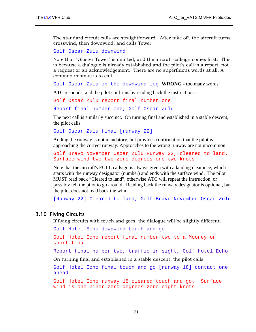<span id="page-25-0"></span>The standard circuit calls are straightforward. After take off, the aircraft turns crosswind, then downwind, and calls Tower

Golf Oscar Zulu downwind

Note that "Gloster Tower" is omitted, and the aircraft callsign comes first. This is because a dialogue is already established and the pilot's call is a report, not a request or an acknowledgement. There are no superfluous words at all. A common mistake is to call

Golf Oscar Zulu on the downwind leg **WRONG - t**oo many words.

ATC responds, and the pilot confirms by reading back the instruction: -

Golf Oscar Zulu report final number one

Report final number one, Golf Oscar Zulu

The next call is similarly succinct. On turning final and established in a stable descent, the pilot calls

Golf Oscar Zulu final [runway 22]

Adding the runway is not mandatory, but provides confirmation that the pilot is approaching the correct runway. Approaches to the wrong runway are not uncommon.

Golf Bravo November Oscar Zulu Runway 22, cleared to land. Surface wind two two zero degrees one two knots

Note that the aircraft's FULL callsign is always given with a landing clearance, which starts with the runway designator (number) and ends with the surface wind. The pilot MUST read back "Cleared to land", otherwise ATC will repeat the instruction, or possibly tell the pilot to go around. Reading back the runway designator is optional, but the pilot does not read back the wind.

[Runway 22] Cleared to land, Golf Bravo November Oscar Zulu

#### 3.10 Flying Circuits

If flying circuits with touch and goes, the dialogue will be slightly different.

Golf Hotel Echo downwind touch and go

Golf Hotel Echo report final number two to a Mooney on short final

Report final number two, traffic in sight, Golf Hotel Echo

On turning final and established in a stable descent, the pilot calls

Golf Hotel Echo final touch and go [runway 18] contact one ahead

Golf Hotel Echo runway 18 cleared touch and go. Surface wind is one niner zero degrees zero eight knots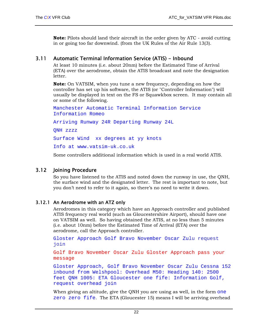<span id="page-26-0"></span>**Note:** Pilots should land their aircraft in the order given by ATC - avoid cutting in or going too far downwind. (from the UK Rules of the Air Rule 13(3).

#### 3.11 Automatic Terminal Information Service (ATIS) - Inbound

At least 10 minutes (i.e. about 20nm) before the Estimated Time of Arrival (ETA) over the aerodrome, obtain the ATIS broadcast and note the designation letter.

**Note:** On VATSIM, when you tune a new frequency, depending on how the controller has set up his software, the ATIS (or "Controller Information") will usually be displayed in text on the FS or Squawkbox screen. It may contain all or some of the following.

Manchester Automatic Terminal Information Service Information Romeo Arriving Runway 24R Departing Runway 24L QNH zzzz Surface Wind xx degrees at yy knots Info at www.vatsim-uk.co.uk

Some controllers additional information which is used in a real world ATIS.

#### 3.12 Joining Procedure

So you have listened to the ATIS and noted down the runway in use, the QNH, the surface wind and the designated letter. The rest is important to note, but you don't need to refer to it again, so there's no need to write it down.

#### 3.12.1 An Aerodrome with an ATZ only

Aerodromes in this category which have an Approach controller and published ATIS frequency real world (such as Gloucestershire Airport), should have one on VATSIM as well. So having obtained the ATIS, at no less than 5 minutes (i.e. about 10nm) before the Estimated Time of Arrival (ETA) over the aerodrome, call the Approach controller.

Gloster Approach Golf Bravo November Oscar Zulu request join

Golf Bravo November Oscar Zulu Gloster Approach pass your message

Gloster Approach, Golf Bravo November Oscar Zulu Cessna 152 inbound from Welshpool: Overhead M50: Heading 140: 2500 feet QNH 1005: ETA Gloucester one fife: Information Golf, request overhead join

When giving an altitude, give the QNH you are using as well, in the form one zero zero fife. The ETA (Gloucester 15) means I will be arriving overhead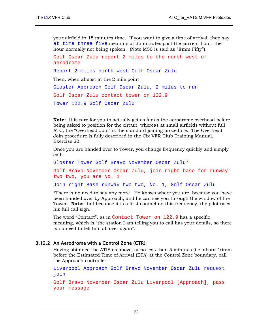<span id="page-27-0"></span>your airfield in 15 minutes time. If you want to give a time of arrival, then say at time three five meaning at 35 minutes past the current hour, the hour normally not being spoken. (Note M50 is said as "Emm Fifty").

Golf Oscar Zulu report 2 miles to the north west of aerodrome Report 2 miles north west Golf Oscar Zulu Then, when almost at the 2 mile point Gloster Approach Golf Oscar Zulu, 2 miles to run Golf Oscar Zulu contact tower on 122.9 Tower 122.9 Golf Oscar Zulu

**Note:** It is rare for you to actually get as far as the aerodrome overhead before being asked to position for the circuit, whereas at small airfields without full ATC, the "Overhead Join" is the standard joining procedure. The Overhead Join procedure is fully described in the Cix VFR Club Training Manual, Exercise 22.

Once you are handed over to Tower, you change frequency quickly and simply call: -

Gloster Tower Golf Bravo November Oscar Zulu\*

Golf Bravo November Oscar Zulu, join right base for runway two two, you are No. 1

Join right Base runway two two, No. 1, Golf Oscar Zulu

\*There is no need to say any more. He knows where you are, because you have been handed over by Approach, and he can see you through the window of the Tower. **Note:** that because it is a first contact on this frequency, the pilot uses his full call sign.

The word "Contact", as in Contact Tower on 122.9 has a specific meaning, which is "the station I am telling you to call has your details, so there is no need to tell him all over again".

#### 3.12.2 An Aerodrome with a Control Zone (CTR)

Having obtained the ATIS as above, at no less than 5 minutes (i.e. about 10nm) before the Estimated Time of Arrival (ETA) at the Control Zone boundary, call the Approach controller.

Liverpool Approach Golf Bravo November Oscar Zulu request join

Golf Bravo November Oscar Zulu Liverpool [Approach], pass your message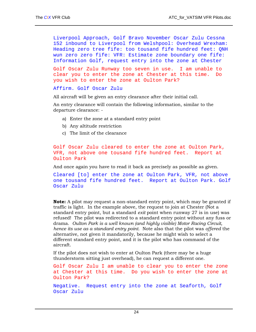```
Liverpool Approach, Golf Bravo November Oscar Zulu Cessna 
152 inbound to Liverpool from Welshpool: Overhead Wrexham: 
Heading zero tree fife: too tousand fife hundred feet: QNH 
wun zero zero fife: VFR: Estimate zone boundary one fife: 
Information Golf, request entry into the zone at Chester
```
Golf Oscar Zulu Runway too seven in use. I am unable to clear you to enter the zone at Chester at this time. Do you wish to enter the zone at Oulton Park?

#### Affirm. Golf Oscar Zulu

All aircraft will be given an entry clearance after their initial call.

An entry clearance will contain the following information, similar to the departure clearance: -

- a) Enter the zone at a standard entry point
- b) Any altitude restriction
- c) The limit of the clearance

Golf Oscar Zulu cleared to enter the zone at Oulton Park, VFR, not above one tousand fife hundred feet. Report at Oulton Park

And once again you have to read it back as precisely as possible as given.

Cleared [to] enter the zone at Oulton Park, VFR, not above one tousand fife hundred feet. Report at Oulton Park. Golf Oscar Zulu

**Note:** A pilot may request a non-standard entry point, which may be granted if traffic is light. In the example above, the request to join at Chester (Not a standard entry point, but a standard *exit* point when runway 27 is in use) was refused! The pilot was redirected to a standard entry point without any fuss or drama. *Oulton Park is a well known (and highly visible) Motor Racing Circuit, hence its use as a standard entry point.* Note also that the pilot was *offered* the alternative, not given it mandatorily, because he might wish to select a different standard entry point, and it is the pilot who has command of the aircraft.

If the pilot does not wish to enter at Oulton Park (there may be a huge thunderstorm sitting just overhead), he can request a different one.

Golf Oscar Zulu I am unable to clear you to enter the zone at Chester at this time. Do you wish to enter the zone at Oulton Park?

Negative. Request entry into the zone at Seaforth, Golf Oscar Zulu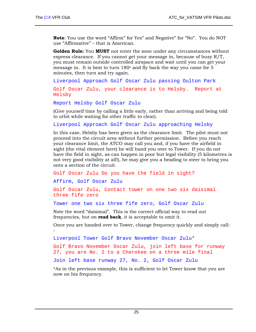**Note**: You use the word "Affirm" for Yes" and Negative" for "No". You do NOT use "Affirmative" – that is American.

**Golden Rule:** You **MUST** not enter the zone under any circumstances without express clearance. If you cannot get your message in, because of busy R/T, you must remain outside controlled airspace and wait until you can get your message in. It is best to turn  $180<sup>o</sup>$  and fly back the way you came for 5 minutes, then turn and try again.

Liverpool Approach Golf Oscar Zulu passing Oulton Park Golf Oscar Zulu, your clearance is to Helsby. Report at Helsby

Report Helsby Golf Oscar Zulu

(Give yourself time by calling a little early, rather than arriving and being told to orbit while waiting for other traffic to clear).

Liverpool Approach Golf Oscar Zulu approaching Helsby

In this case, Helsby has been given as the clearance limit. The pilot must not proceed into the circuit area without further permission. Before you reach your clearance limit, the ATCO may call you and, if you have the airfield in sight (the vital element here) he will hand you over to Tower. If you do not have the field in sight, as can happen in poor but legal visibility (5 kilometres is not very good visibility at all!), he may give you a heading to steer to bring you onto a section of the circuit.

Golf Oscar Zulu Do you have the field in sight?

Affirm, Golf Oscar Zulu

Golf Oscar Zulu, Contact tower on one two six daisimal three fife zero

Tower one two six three fife zero, Golf Oscar Zulu

Note the word "daisimal". This is the correct official way to read out frequencies, but on **read back**, it is acceptable to omit it.

Once you are handed over to Tower, change frequency quickly and simply call: -

Liverpool Tower Golf Bravo November Oscar Zulu\*

Golf Bravo November Oscar Zulu, join left base for runway 27, you are No. 2 to a Cherokee on a three mile final

Join left base runway 27, No. 2, Golf Oscar Zulu

\*As in the previous example, this is sufficient to let Tower know that you are now on his frequency.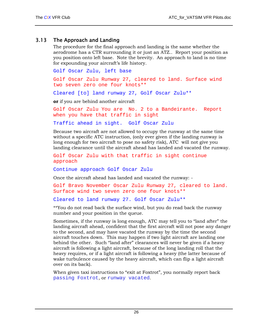#### <span id="page-30-0"></span>3.13 The Approach and Landing

The procedure for the final approach and landing is the same whether the aerodrome has a CTR surrounding it or just an ATZ.. Report your position as you position onto left base. Note the brevity. An approach to land is no time for expounding your aircraft's life history.

Golf Oscar Zulu, left base

Golf Oscar Zulu Runway 27, cleared to land. Surface wind two seven zero one four knots\*\*

Cleared [to] land runway 27, Golf Oscar Zulu\*\*

**or** if you are behind another aircraft

Golf Oscar Zulu You are No. 2 to a Bandeirante. Report when you have that traffic in sight

Traffic ahead in sight. Golf Oscar Zulu

Because two aircraft are not allowed to occupy the runway at the same time without a specific ATC instruction, (only ever given if the landing runway is long enough for two aircraft to pose no safety risk), ATC will not give you landing clearance until the aircraft ahead has landed and vacated the runway.

Golf Oscar Zulu with that traffic in sight continue approach

Continue approach Golf Oscar Zulu

Once the aircraft ahead has landed and vacated the runway: -

Golf Bravo November Oscar Zulu Runway 27, cleared to land. Surface wind two seven zero one four knots\*\*

```
Cleared to land runway 27. Golf Oscar Zulu**
```
\*\*You do not read back the surface wind, but you do read back the runway number and your position in the queue.

Sometimes, if the runway is long enough, ATC may tell you to "land after" the landing aircraft ahead, confident that the first aircraft will not pose any danger to the second, and may have vacated the runway by the time the second aircraft touches down. This may happen if two light aircraft are landing one behind the other. Such "land after" clearances will never be given if a heavy aircraft is following a light aircraft, because of the long landing roll that the heavy requires, or if a light aircraft is following a heavy (the latter because of wake turbulence caused by the heavy aircraft, which can flip a light aircraft over on its back).

When given taxi instructions to "exit at Foxtrot", you normally report back passing Foxtrot, or runway vacated.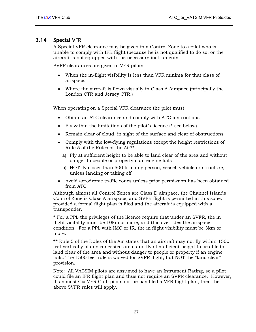## <span id="page-31-1"></span><span id="page-31-0"></span>3.14 Special VFR

A Special VFR clearance may be given in a Control Zone to a pilot who is unable to comply with IFR flight (because he is not qualified to do so, or the aircraft is not equipped with the necessary instruments.

SVFR clearances are given to VFR pilots

- When the in-flight visibility is less than VFR minima for that class of airspace.
- Where the aircraft is flown visually in Class A Airspace (principally the London CTR and Jersey CTR.)

When operating on a Special VFR clearance the pilot must

- Obtain an ATC clearance and comply with ATC instructions
- Fly within the limitations of the pilot's licence.(**\*** see below)
- Remain clear of cloud, in sight of the surface and clear of obstructions
- Comply with the low-flying regulations except the height restrictions of Rule 5 of the Rules of the Air**\*\***.
	- a) Fly at sufficient height to be able to land clear of the area and without danger to people or property if an engine fails
	- b) NOT fly closer than 500 ft to any person, vessel, vehicle or structure, unless landing or taking off
- Avoid aerodrome traffic zones unless prior permission has been obtained from ATC

Although almost all Control Zones are Class D airspace, the Channel Islands Control Zone is Class A airspace, and SVFR flight is permitted in this zone, provided a formal flight plan is filed and the aircraft is equipped with a transponder.

**\*** For a PPL the privileges of the licence require that under an SVFR, the in flight visibility must be 10km or more, and this overrides the airspace condition. For a PPL with IMC or IR, the in flight visibility must be 3km or more.

**\*\*** Rule 5 of the Rules of the Air states that an aircraft may not fly within 1500 feet vertically of any congested area, and fly at sufficient height to be able to land clear of the area and without danger to people or property if an engine fails. The 1500 feet rule is waived for SVFR flight, but NOT the "land clear" provision.

Note: All VATSIM pilots are assumed to have an Intrument Rating, so a pilot could file an IFR flight plan and thus not require an SVFR clearance. However, if, as most Cix VFR Club pilots do, he has filed a VFR flight plan, then the above SVFR rules will apply.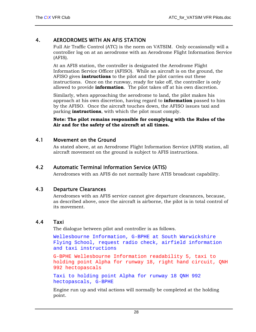### <span id="page-32-1"></span><span id="page-32-0"></span>4. AERODROMES WITH AN AFIS STATION

Full Air Traffic Control (ATC) is the norm on VATSIM. Only occasionally will a controller log on at an aerodrome with an Aerodrome Flight Information Service (AFIS).

At an AFIS station, the controller is designated the Aerodrome Flight Information Service Officer (AFISO). While an aircraft is on the ground, the AFISO gives **instructions** to the pilot and the pilot carries out these instructions. Once on the runway, ready for take off, the controller is only allowed to provide **information**. The pilot takes off at his own discretion.

Similarly, when approaching the aerodrome to land, the pilot makes his approach at his own discretion, having regard to **information** passed to him by the AFISO. Once the aircraft touches down, the AFISO issues taxi and parking **instructions**, with which the pilot must comply.

**Note: The pilot remains responsible for complying with the Rules of the Air and for the safety of the aircraft at all times.**

#### 4.1 Movement on the Ground

As stated above, at an Aerodrome Flight Information Service (AFIS) station, all aircraft movement on the ground is subject to AFIS instructions.

#### 4.2 Automatic Terminal Information Service (ATIS)

Aerodromes with an AFIS do not normally have ATIS broadcast capability.

#### 4.3 Departure Clearances

Aerodromes with an AFIS service cannot give departure clearances, because, as described above, once the aircraft is airborne, the pilot is in total control of its movement.

#### 4.4 Taxi

The dialogue between pilot and controller is as follows.

Wellesbourne Information, G-BPHE at South Warwickshire Flying School, request radio check, airfield information and taxi instructions

G-BPHE Wellesbourne Information readability 5, taxi to holding point Alpha for runway 18, right hand circuit, QNH 992 hectopascals

Taxi to holding point Alpha for runway 18 QNH 992 hectopascals, G-BPHE

Engine run up and vital actions will normally be completed at the holding point.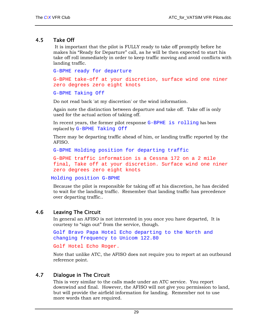### <span id="page-33-0"></span>4.5 Take Off

 It is important that the pilot is FULLY ready to take off promptly before he makes his "Ready for Departure" call, as he will be then expected to start his take off roll immediately in order to keep traffic moving and avoid conflicts with landing traffic.

G-BPHE ready for departure G-BPHE take-off at your discretion, surface wind one niner zero degrees zero eight knots

G-BPHE Taking Off

Do not read back 'at my discretion' or the wind information.

Again note the distinction between departure and take off. Take off is only used for the actual action of taking off.

In recent years, the former pilot response G-BPHE is rolling has been replaced by G-BPHE Taking Off

There may be departing traffic ahead of him, or landing traffic reported by the AFISO.

G-BPHE Holding position for departing traffic

G-BPHE traffic information is a Cessna 172 on a 2 mile final, Take off at your discretion. Surface wind one niner zero degrees zero eight knots

Holding position G-BPHE

Because the pilot is responsible for taking off at his discretion, he has decided to wait for the landing traffic. Remember that landing traffic has precedence over departing traffic..

#### 4.6 Leaving The Circuit

In general an AFISO is not interested in you once you have departed, It is courtesy to "sign out" from the service, though.

Golf Bravo Papa Hotel Echo departing to the North and changing frequency to Unicom 122.80

Golf Hotel Echo Roger.

Note that unlike ATC, the AFISO does not require you to report at an outbound reference point.

#### 4.7 Dialogue in The Circuit

This is very similar to the calls made under an ATC service. You report downwind and final. However, the AFISO will not give you permission to land, but will provide the airfield information for landing. Remember not to use more words than are required.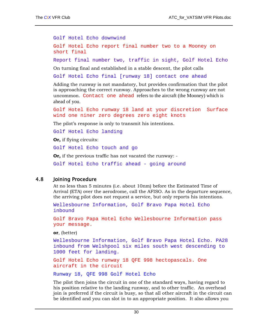<span id="page-34-0"></span>Golf Hotel Echo downwind

Golf Hotel Echo report final number two to a Mooney on short final

Report final number two, traffic in sight, Golf Hotel Echo

On turning final and established in a stable descent, the pilot calls

Golf Hotel Echo final [runway 18] contact one ahead

Adding the runway is not mandatory, but provides confirmation that the pilot is approaching the correct runway. Approaches to the wrong runway are not uncommon. Contact one ahead refers to the aircraft (the Mooney) which is ahead of you.

Golf Hotel Echo runway 18 land at your discretion Surface wind one niner zero degrees zero eight knots

The pilot's response is only to transmit his intentions.

Golf Hotel Echo landing

**Or,** if flying circuits:

Golf Hotel Echo touch and go

**Or,** if the previous traffic has not vacated the runway: -

Golf Hotel Echo traffic ahead - going around

#### 4.8 Joining Procedure

At no less than 5 minutes (i.e. about 10nm) before the Estimated Time of Arrival (ETA) over the aerodrome, call the AFISO. As in the departure sequence, the arriving pilot does not request a service, but only reports his intentions.

Wellesbourne Information, Golf Bravo Papa Hotel Echo inbound

Golf Bravo Papa Hotel Echo Wellesbourne Information pass your message.

**or**, (better)

Wellesbourne Information, Golf Bravo Papa Hotel Echo. PA28 inbound from Welshpool six miles south west descending to 1000 feet for landing.

Golf Hotel Echo runway 18 QFE 998 hectopascals. One aircraft in the circuit

Runway 18, QFE 998 Golf Hotel Echo

The pilot then joins the circuit in one of the standard ways, having regard to his position relative to the landing runway, and to other traffic. An overhead join is preferred if the circuit is busy, so that all other aircraft in the circuit can be identified and you can slot in to an appropriate position. It also allows you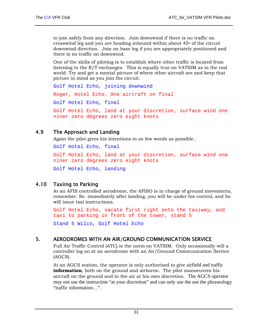<span id="page-35-0"></span>to join safely from any direction. Join downwind if there is no traffic on crosswind leg and you are heading inbound within about  $45^{\circ}$  of the circuit downwind direction. Join on base leg if you are appropriately positioned and there is no traffic on downwind.

One of the skills of piloting is to establish where other traffic is located from listening to the R/T exchanges. This is equally true on VATSIM as in the real world. Try and get a mental picture of where other aircraft are and keep that picture in mind as you join the circuit.

Golf Hotel Echo, joining downwind Roger, Hotel Echo. One aircraft on final Golf Hotel Echo, final Golf Hotel Echo, land at your discretion, surface wind one niner zero degrees zero eight knots

### 4.9 The Approach and Landing

Again the pilot gives his intentions in as few words as possible..

Golf Hotel Echo, final

Golf Hotel Echo, land at your discretion, surface wind one niner zero degrees zero eight knots

Golf Hotel Echo, landing

#### 4.10 Taxiing to Parking

At an AFIS controlled aerodrome, the AFISO is in charge of ground movements, remember. So immediately after landing, you will be under his control, and he will issue taxi instructions.

Golf Hotel Echo, vacate first right onto the taxiway, and taxi to parking in front of the tower, stand 5

Stand 5 Wilco, Golf Hotel Echo

#### <span id="page-35-1"></span>5. AERODROMES WITH AN AIR/GROUND COMMUNICATION SERVICE

Full Air Traffic Control (ATC) is the norm on VATSIM. Only occasionally will a controller log on at an aerodrome with an Air/Ground Communication Service (AGCS).

At an AGCS station, the operator is only authorised to give airfield and traffic **information**, both on the ground and airborne. The pilot manoeuvres his aircraft on the ground and in the air at his own discretion. The AGCS operator may not use the instruction "at your discretion" and can only use the use the phraseology "traffic information…".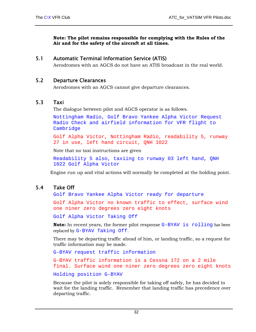<span id="page-36-0"></span>**Note: The pilot remains responsible for complying with the Rules of the Air and for the safety of the aircraft at all times.**

#### 5.1 Automatic Terminal Information Service (ATIS)

Aerodromes with an AGCS do not have an ATIS broadcast in the real world.

#### 5.2 Departure Clearances

Aerodromes with an AGCS cannot give departure clearances.

#### 5.3 Taxi

The dialogue between pilot and AGCS operator is as follows.

Nottingham Radio, Golf Bravo Yankee Alpha Victor Request Radio Check and airfield information for VFR flight to Cambridge

Golf Alpha Victor, Nottingham Radio, readability 5, runway 27 in use, left hand circuit, QNH 1022

Note that no taxi instructions are given

Readability 5 also, taxiing to runway 03 left hand, QNH 1022 Golf Alpha Victor

Engine run up and vital actions will normally be completed at the holding point.

#### 5.4 Take Off

Golf Bravo Yankee Alpha Victor ready for departure

Golf Alpha Victor no known traffic to effect, surface wind one niner zero degrees zero eight knots

Golf Alpha Victor Taking Off

**Note:** In recent years, the former pilot response G-BYAV is rolling has been replaced by G-BYAV Taking Off.

There may be departing traffic ahead of him, or landing traffic, so a request for traffic information may be made.

G-BYAV request traffic information

G-BYAV traffic information is a Cessna 172 on a 2 mile final. Surface wind one niner zero degrees zero eight knots

Holding position G-BYAV

Because the pilot is solely responsible for taking off safely, he has decided to wait for the landing traffic. Remember that landing traffic has precedence over departing traffic.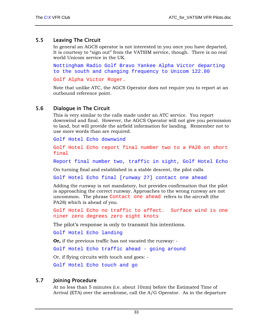#### <span id="page-37-0"></span>5.5 Leaving The Circuit

In general an AGCS operator is not interested in you once you have departed, It is courtesy to "sign out" from the VATSIM service, though. There is no real world Unicom service in the UK.

Nottingham Radio Golf Bravo Yankee Alpha Victor departing to the south and changing frequency to Unicom 122.80

Golf Alpha Victor Roger.

Note that unlike ATC, the AGCS Operator does not require you to report at an outbound reference point.

#### 5.6 Dialogue in The Circuit

This is very similar to the calls made under an ATC service. You report downwind and final. However, the AGCS Operator will not give you permission to land, but will provide the airfield information for landing. Remember not to use more words than are required.

Golf Hotel Echo downwind

Golf Hotel Echo report final number two to a PA28 on short final

Report final number two, traffic in sight, Golf Hotel Echo

On turning final and established in a stable descent, the pilot calls

Golf Hotel Echo final [runway 27] contact one ahead

Adding the runway is not mandatory, but provides confirmation that the pilot is approaching the correct runway. Approaches to the wrong runway are not uncommon. The phrase Contact one ahead refers to the aircraft (the PA28) which is ahead of you.

Golf Hotel Echo no traffic to affect. Surface wind is one niner zero degrees zero eight knots

The pilot's response is only to transmit his intentions.

Golf Hotel Echo landing

**Or,** if the previous traffic has not vacated the runway: -

Golf Hotel Echo traffic ahead - going around

Or, if flying circuits with touch and goes: -

Golf Hotel Echo touch and go

#### 5.7 Joining Procedure

At no less than 5 minutes (i.e. about 10nm) before the Estimated Time of Arrival (ETA) over the aerodrome, call the A/G Operator. As in the departure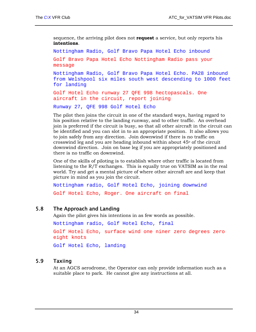<span id="page-38-0"></span>sequence, the arriving pilot does not **request** a service, but only reports his **intentions**.

Nottingham Radio, Golf Bravo Papa Hotel Echo inbound

Golf Bravo Papa Hotel Echo Nottingham Radio pass your message

Nottingham Radio, Golf Bravo Papa Hotel Echo. PA28 inbound from Welshpool six miles south west descending to 1000 feet for landing

Golf Hotel Echo runway 27 QFE 998 hectopascals. One aircraft in the circuit, report joining

Runway 27, QFE 998 Golf Hotel Echo

The pilot then joins the circuit in one of the standard ways, having regard to his position relative to the landing runway, and to other traffic. An overhead join is preferred if the circuit is busy, so that all other aircraft in the circuit can be identified and you can slot in to an appropriate position. It also allows you to join safely from any direction. Join downwind if there is no traffic on crosswind leg and you are heading inbound within about 45o of the circuit downwind direction. Join on base leg if you are appropriately positioned and there is no traffic on downwind.

One of the skills of piloting is to establish where other traffic is located from listening to the R/T exchanges. This is equally true on VATSIM as in the real world. Try and get a mental picture of where other aircraft are and keep that picture in mind as you join the circuit.

Nottingham radio, Golf Hotel Echo, joining downwind Golf Hotel Echo, Roger. One aircraft on final

#### 5.8 The Approach and Landing

Again the pilot gives his intentions in as few words as possible.

Nottingham radio, Golf Hotel Echo, final

Golf Hotel Echo, surface wind one niner zero degrees zero eight knots

Golf Hotel Echo, landing

#### 5.9 Taxiing

At an AGCS aerodrome, the Operator can only provide information such as a suitable place to park. He cannot give any instructions at all.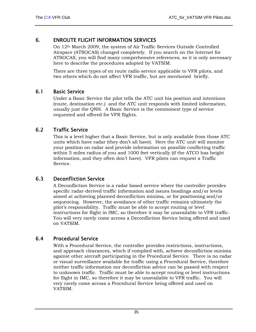## <span id="page-39-1"></span><span id="page-39-0"></span>6. ENROUTE FLIGHT INFORMATION SERVICES

On 12th March 2009, the system of Air Traffic Services Outside Controlled Airspace (ATSOCAS) changed completely. If you search on the Internet for ATSOCAS, you will find many comprehensive references, so it is only necessary here to describe the procedures adopted by VATSIM.

There are three types of en route radio service applicable to VFR pilots, and two others which do not affect VFR traffic, but are mentioned briefly.

#### 6.1 Basic Service

Under a Basic Service the pilot tells the ATC unit his position and intentions (route, destination etc.) and the ATC unit responds with limited information, usually just the QNH. A Basic Service is the commonest type of service requested and offered for VFR flights.

### 6.2 Traffic Service

This is a level higher that a Basic Service, but is only available from those ATC units which have radar (they don't all have). Here the ATC unit will monitor your position on radar and provide information on possible conflicting traffic within 5 miles radius of you and 1000 feet vertically (if the ATCO has height information, and they often don't have). VFR pilots can request a Traffic Service.

#### 6.3 Deconfliction Service

A Deconfliction Service is a radar based service where the controller provides specific radar-derived traffic information and issues headings and/or levels aimed at achieving planned deconfliction minima, or for positioning and/or sequencing. However, the avoidance of other traffic remains ultimately the pilot's responsibility. Traffic must be able to accept routing or level instructions for flight in IMC, so therefore it may be unavailable to VFR traffic. You will very rarely come across a Deconfliction Service being offered and used on VATSIM.

## 6.4 Procedural Service

With a Procedural Service, the controller provides restrictions, instructions, and approach clearances, which if complied with, achieve deconfliction minima against other aircraft participating in the Procedural Service. There is no radar or visual surveillance available for traffic using a Procedural Service, therefore neither traffic information nor deconfliction advice can be passed with respect to unknown traffic. Traffic must be able to accept routing or level instructions for flight in IMC, so therefore it may be unavailable to VFR traffic. You will very rarely come across a Procedural Service being offered and used on VATSIM.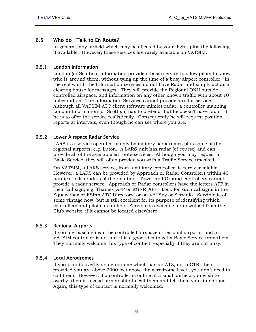## <span id="page-40-0"></span>6.5 Who do I Talk to En Route?

In general, any airfield which may be affected by your flight, plus the following, if available. However, these services are rarely available on VATSIM.

#### 6.5.1 London Information

London (or Scottish) Information provide a basic service to allow pilots to know who is around them, without tying up the time of a busy airport controller. In the real world, the Information services do not have Radar and simply act as a clearing house for messages. They will provide the Regional QNH outside controlled airspace, and information on any other known traffic with about 10 miles radius. The Information Services cannot provide a radar service. Although all VATSIM ATC client software mimics radar, a controller manning London Information (or Scottish) has to pretend that he doesn't have radar, if he is to offer the service realistically. Consequently he will request position reports at intervals, even though he can see where you are.

#### 6.5.2 Lower Airspace Radar Service

LARS is a service operated mainly by military aerodromes plus some of the regional airports, e.g. Luton. A LARS unit has radar (of course) and can provide all of the available en route services. Although you may request a Basic Service, they will often provide you with a Traffic Service unasked.

On VATSIM, a LARS service, from a military controller, is rarely available. However, a LARS can be provided by Approach or Radar Controllers within 40 nautical miles radius of their station. Tower and Ground controllers cannot provide a radar service. Approach or Radar controllers have the letters APP in their call sign; e.g. Thames\_APP or EGNR\_APP. Look for such callsigns in the Squawkbox or FSInn ATC Directory, or on VATSpy or Servinfo. Servinfo is of some vintage now, but is still excellent for its purpose of identifying which controllers and pilots are online. Servinfo is available for download from the Club website, if it cannot be located elsewhere.

#### 6.5.3 Regional Airports

If you are passing near the controlled airspace of regional airports, and a VATSIM controller is on line, it is a good idea to get a Basic Service from them. They normally welcome this type of contact, especially if they are not busy.

#### 6.5.4 Local Aerodromes

If you plan to overfly an aerodrome which has an ATZ, not a CTR, then provided you are above 2000 feet above the aerodrome level,, you don't need to call them. However, if a controller is online at a small airfield you wish to overfly, then it is good airmanship to call them and tell them your intentions. Again, this type of contact is normally welcomed.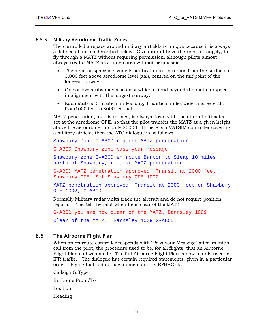#### <span id="page-41-1"></span><span id="page-41-0"></span>6.5.5 Military Aerodrome Traffic Zones

The controlled airspace around military airfields is unique because it is always a defined shape as described below. Civil aircraft have the right, strangely, to fly through a MATZ without requiring permission, although pilots almost always treat a MATZ as a no-go area without permission.

- The main airspace is a zone 5 nautical miles in radius from the surface to 3,000 feet above aerodrome level (aal), centred on the midpoint of the longest runway.
- One or two stubs may also exist which extend beyond the main airspace in alignment with the longest runway.
- Each stub is 5 nautical miles long, 4 nautical miles wide, and extends from1000 feet to 3000 feet aal.

MATZ penetration, as it is termed, is always flown with the aircraft altimeter set at the aerodrome QFE, so that the pilot transits the MATZ at a given height above the aerodrome - usually 2000ft. If there is a VATSIM controller covering a military airfield, then the ATC dialogue is as follows.

Shawbury Zone G-ABCD request MATZ penetration.

G-ABCD Shawbury zone pass your message.

Shawbury zone G-ABCD en route Barton to Sleap 10 miles north of Shawbury, request MATZ penetration

G-ABCD MATZ penetration approved. Transit at 2000 feet Shawbury QFE. Set Shawbury QFE 1002

MATZ penetration approved. Transit at 2000 feet on Shawbury QFE 1002, G-ABCD

Normally Military radar units track the aircraft and do not require position reports. They tell the pilot when he is clear of the MATZ

G-ABCD you are now clear of the MATZ. Barnsley 1009 Clear of the MATZ. Barnsley 1009 G-ABCD.

#### 6.6 The Airborne Flight Plan

When an en route controller responds with "Pass your Message" after an initial call from the pilot, the procedure used to be, for all flights, that an Airborne Flight Plan call was made. The full Airborne Flight Plan is now mainly used by IFR traffic. The dialogue has certain required statements, given in a particular order – Flying Instructors use a mnemonic – CEPHACER.

Callsign & Type

En Route From/To

Position

Heading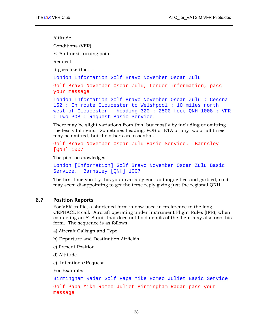<span id="page-42-0"></span>Altitude

Conditions (VFR)

ETA at next turning point

Request

It goes like this: -

London Information Golf Bravo November Oscar Zulu

Golf Bravo November Oscar Zulu, London Information, pass your message

London Information Golf Bravo November Oscar Zulu : Cessna 152 : En route Gloucester to Welshpool : 10 miles north west of Gloucester : heading 320 : 2500 feet QNH 1008 : VFR : Two POB : Request Basic Service

There may be slight variations from this, but mostly by including or omitting the less vital items. Sometimes heading, POB or ETA or any two or all three may be omitted, but the others are essential.

Golf Bravo November Oscar Zulu Basic Service. Barnsley [QNH] 1007

The pilot acknowledges:

London [Information] Golf Bravo November Oscar Zulu Basic Service. Barnsley [QNH] 1007

The first time you try this you invariably end up tongue tied and garbled, so it may seem disappointing to get the terse reply giving just the regional QNH!

#### 6.7 Position Reports

For VFR traffic, a shortened form is now used in preference to the long CEPHACER call. Aircraft operating under Instrument Flight Rules (IFR), when contacting an ATS unit that does not hold details of the flight may also use this form. The sequence is as follows.

- a) Aircraft Callsign and Type
- b) Departure and Destination Airfields
- c) Present Position
- d) Altitude
- e) Intentions/Request

For Example: -

Birmingham Radar Golf Papa Mike Romeo Juliet Basic Service

Golf Papa Mike Romeo Juliet Birmingham Radar pass your message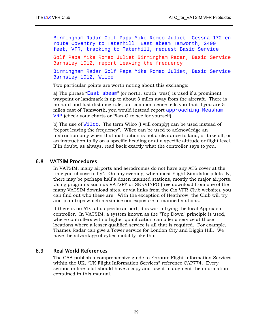<span id="page-43-0"></span>Birmingham Radar Golf Papa Mike Romeo Juliet Cessna 172 en route Coventry to Tatenhill. East abeam Tamworth, 2400 feet, VFR, tracking to Tatenhill, request Basic Service Golf Papa Mike Romeo Juliet Birmingham Radar, Basic Service

Birmingham Radar Golf Papa Mike Romeo Juliet, Basic Service Barnsley 1012, Wilco

Two particular points are worth noting about this exchange:

Barnsley 1012, report leaving the frequency

a) The phrase "East abeam" (or north, south, west) is used if a prominent waypoint or landmark is up to about 3 miles away from the aircraft. There is no hard and fast distance rule, but common sense tells you that if you are 5 miles east of Tamworth, you would instead report approaching Measham VRP (check your charts or Plan-G to see for yourself).

b) The use of Wilco. The term Wilco (I will comply) can be used instead of "report leaving the frequency". Wilco can be used to acknowledge an instruction only when that instruction is not a clearance to land, or take off, or an instruction to fly on a specific heading or at a specific altitude or flight level. If in doubt, as always, read back exactly what the controller says to you.

#### 6.8 VATSIM Procedures

In VATSIM, many airports and aerodromes do not have any ATS cover at the time you choose to fly". On any evening, when most Flight Simulator pilots fly, there may be perhaps half a dozen manned stations, mostly the major airports. Using programs such as VATSPY or SERVINFO (free download from one of the many VATSIM download sites, or via links from the Cix VFR Club website), you can find out who these are. With the exception of Heathrow, the Club will try and plan trips which maximise our exposure to manned stations.

If there is no ATC at a specific airport, it is worth trying the local Approach controller. In VATSIM, a system known as the "Top Down" principle is used, where controllers with a higher qualification can offer a service at those locations where a lesser qualified service is all that is required. For example, Thames Radar can give a Tower service for London City and Biggin Hill. We have the advantage of cyber-mobility like that

#### 6.9 Real World References

The CAA publish a comprehensive guide to Enroute Flight Information Services within the UK, "UK Flight Information Services" reference CAP774. Every serious online pilot should have a copy and use it to augment the information contained in this manual.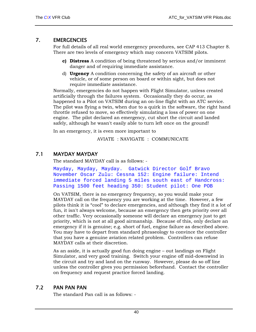### <span id="page-44-0"></span>7. EMERGENCIES

For full details of all real world emergency procedures, see CAP 413 Chapter 8. There are two levels of emergency which may concern VATSIM pilots.

- **c) Distress** A condition of being threatened by serious and/or imminent danger and of requiring immediate assistance.
- d) **Urgency** A condition concerning the safety of an aircraft or other vehicle, or of some person on board or within sight, but does not require immediate assistance.

Normally, emergencies do not happen with Flight Simulator, unless created artificially through the failures system. Occasionally they do occur, as happened to a Pilot on VATSIM during an on-line flight with an ATC service. The pilot was flying a twin, when due to a quirk in the software, the right hand throttle refused to move, so effectively simulating a loss of power on one engine. The pilot declared an emergency, cut short the circuit and landed safely, although he wasn't easily able to turn left once on the ground!

In an emergency, it is even more important to

AVIATE : NAVIGATE : COMMUNICATE

## 7.1 MAYDAY MAYDAY

The standard MAYDAY call is as follows: -

Mayday, Mayday, Mayday. Gatwick Director Golf Bravo November Oscar Zulu: Cessna 152: Engine failure: Intend immediate forced landing 5 miles south east of Handcross: Passing 1500 feet heading 350: Student pilot: One POB

On VATSIM, there is no emergency frequency, so you would make your MAYDAY call on the frequency you are working at the time. However, a few pilots think it is "cool" to declare emergencies, and although they find it a lot of fun, it isn't always welcome, because an emergency then gets priority over all other traffic. Very occasionally someone will declare an emergency just to get priority, which is not at all good airmanship. Because of this, only declare an emergency if it is genuine; e.g. short of fuel, engine failure as described above. You may have to depart from standard phraseology to convince the controller that you have a genuine aviation related problem. Controllers can refuse MAYDAY calls at their discretion.

As an aside, it is actually good fun doing engine – out landings on Flight Simulator, and very good training. Switch your engine off mid-downwind in the circuit and try and land on the runway. However, please do so off line unless the controller gives you permission beforehand. Contact the controller on frequency and request practice forced landing.

#### 7.2 PAN PAN PAN

The standard Pan call is as follows: -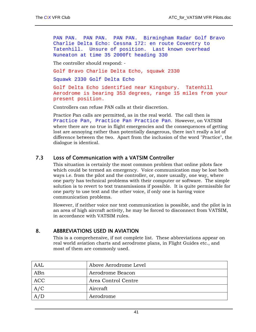<span id="page-45-0"></span>PAN PAN. PAN PAN. PAN PAN. Birmingham Radar Golf Bravo Charlie Delta Echo: Cessna 172: en route Coventry to Tatenhill. Unsure of position. Last known overhead Nuneaton at time 35 2000ft heading 330

The controller should respond: -

Golf Bravo Charlie Delta Echo, squawk 2330

Squawk 2330 Golf Delta Echo

Golf Delta Echo identified near Kingsbury. Tatenhill Aerodrome is bearing 353 degrees, range 15 miles from your present position.

Controllers can refuse PAN calls at their discretion.

Practice Pan calls are permitted, as in the real world. The call then is Practice Pan, Practice Pan Practice Pan. However, on VATSIM where there are no true in flight emergencies and the consequences of getting lost are annoying rather than potentially dangerous, there isn't really a lot of difference between the two. Apart from the inclusion of the word "Practice", the dialogue is identical.

#### 7.3 Loss of Communication with a VATSIM Controller

This situation is certainly the most common problem that online pilots face which could be termed an emergency. Voice communication may be lost both ways i.e. from the pilot and the controller, or, more usually, one way, where one party has technical problems with their computer or software. The simple solution is to revert to text transmissions if possible. It is quite permissible for one party to use text and the other voice, if only one is having voice communication problems.

However, if neither voice nor text communication is possible, and the pilot is in an area of high aircraft activity, he may be forced to disconnect from VATSIM, in accordance with VATSIM rules.

#### <span id="page-45-1"></span>8. ABBREVIATIONS USED IN AVIATION

This is a comprehensive, if not complete list. These abbreviations appear on real world aviation charts and aerodrome plans, in Flight Guides etc., and most of them are commonly used.

| Above Aerodrome Level |
|-----------------------|
| Aerodrome Beacon      |
| Area Control Centre   |
| Aircraft              |
| Aerodrome             |
|                       |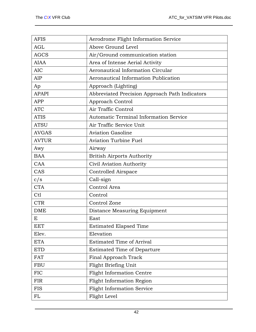| <b>AFIS</b>     | Aerodrome Flight Information Service           |
|-----------------|------------------------------------------------|
| <b>AGL</b>      | Above Ground Level                             |
| <b>AGCS</b>     | Air/Ground communication station               |
| <b>AIAA</b>     | Area of Intense Aerial Activity                |
| <b>AIC</b>      | Aeronautical Information Circular              |
| AlP             | Aeronautical Information Publication           |
| Ap              | Approach (Lighting)                            |
| <b>APAPI</b>    | Abbreviated Precision Approach Path Indicators |
| <b>APP</b>      | Approach Control                               |
| <b>ATC</b>      | Air Traffic Control                            |
| <b>ATIS</b>     | <b>Automatic Terminal Information Service</b>  |
| <b>ATSU</b>     | Air Traffic Service Unit                       |
| <b>AVGAS</b>    | <b>Aviation Gasoline</b>                       |
| <b>AVTUR</b>    | <b>Aviation Turbine Fuel</b>                   |
| Awy             | Airway                                         |
| <b>BAA</b>      | <b>British Airports Authority</b>              |
| CAA             | Civil Aviation Authority                       |
| CAS             | Controlled Airspace                            |
| c/s             | Call-sign                                      |
| <b>CTA</b>      | Control Area                                   |
| C <sub>t1</sub> | Control                                        |
| <b>CTR</b>      | Control Zone                                   |
| <b>DME</b>      | Distance Measuring Equipment                   |
| E               | East                                           |
| <b>EET</b>      | <b>Estimated Elapsed Time</b>                  |
| Elev.           | Elevation                                      |
| <b>ETA</b>      | <b>Estimated Time of Arrival</b>               |
| <b>ETD</b>      | <b>Estimated Time of Departure</b>             |
| <b>FAT</b>      | Final Approach Track                           |
| <b>FBU</b>      | Flight Briefing Unit                           |
| <b>FIC</b>      | <b>Flight Information Centre</b>               |
| <b>FIR</b>      | Flight Information Region                      |
| <b>FIS</b>      | <b>Flight Information Service</b>              |
| FL              | Flight Level                                   |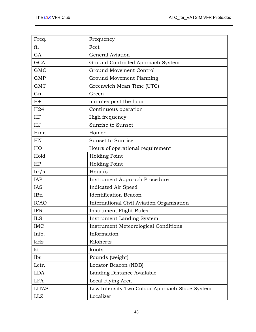| Freq.           | Frequency                                      |
|-----------------|------------------------------------------------|
| ft.             | Feet                                           |
| GA              | General Aviation                               |
| GCA             | Ground Controlled Approach System              |
| <b>GMC</b>      | Ground Movement Control                        |
| <b>GMP</b>      | Ground Movement Planning                       |
| <b>GMT</b>      | Greenwich Mean Time (UTC)                      |
| Gn              | Green                                          |
| $H+$            | minutes past the hour                          |
| H <sub>24</sub> | Continuous operation                           |
| <b>HF</b>       | High frequency                                 |
| HJ              | Sunrise to Sunset                              |
| Hmr.            | Homer                                          |
| HN              | <b>Sunset to Sunrise</b>                       |
| HO              | Hours of operational requirement               |
| Hold            | Holding Point                                  |
| HP              | Holding Point                                  |
| hr/s            | Hour/s                                         |
| IAP             | Instrument Approach Procedure                  |
| IAS             | Indicated Air Speed                            |
| IBn             | <b>Identification Beacon</b>                   |
| <b>ICAO</b>     | International Civil Aviation Organisation      |
| <b>IFR</b>      | Instrument Flight Rules                        |
| <b>ILS</b>      | <b>Instrument Landing System</b>               |
| <b>IMC</b>      | <b>Instrument Meteorological Conditions</b>    |
| Info.           | Information                                    |
| kHz             | Kilohertz                                      |
| kt              | knots                                          |
| Ibs             | Pounds (weight)                                |
| Lctr.           | Locator Beacon (NDB)                           |
| <b>LDA</b>      | Landing Distance Available                     |
| <b>LFA</b>      | Local Flying Area                              |
| <b>LITAS</b>    | Low Intensity Two Colour Approach Slope System |
| LLZ             | Localizer                                      |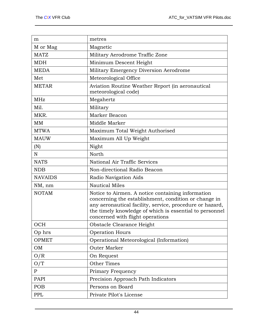| m              | metres                                                                                                                                                                                                                                                               |
|----------------|----------------------------------------------------------------------------------------------------------------------------------------------------------------------------------------------------------------------------------------------------------------------|
| M or Mag       | Magnetic                                                                                                                                                                                                                                                             |
| <b>MATZ</b>    | Military Aerodrome Traffic Zone                                                                                                                                                                                                                                      |
| <b>MDH</b>     | Minimum Descent Height                                                                                                                                                                                                                                               |
| <b>MEDA</b>    | Military Emergency Diversion Aerodrome                                                                                                                                                                                                                               |
| Met            | Meteorological Office                                                                                                                                                                                                                                                |
| <b>METAR</b>   | Aviation Routine Weather Report (in aeronautical<br>meteorological code)                                                                                                                                                                                             |
| <b>MHz</b>     | Megahertz                                                                                                                                                                                                                                                            |
| Mil.           | Military                                                                                                                                                                                                                                                             |
| MKR.           | Marker Beacon                                                                                                                                                                                                                                                        |
| MM             | Middle Marker                                                                                                                                                                                                                                                        |
| <b>MTWA</b>    | Maximum Total Weight Authorised                                                                                                                                                                                                                                      |
| <b>MAUW</b>    | Maximum All Up Weight                                                                                                                                                                                                                                                |
| (N)            | Night                                                                                                                                                                                                                                                                |
| N              | North                                                                                                                                                                                                                                                                |
| <b>NATS</b>    | National Air Traffic Services                                                                                                                                                                                                                                        |
| <b>NDB</b>     | Non-directional Radio Beacon                                                                                                                                                                                                                                         |
| <b>NAVAIDS</b> | Radio Navigation Aids                                                                                                                                                                                                                                                |
| NM, nm         | <b>Nautical Miles</b>                                                                                                                                                                                                                                                |
| <b>NOTAM</b>   | Notice to Airmen. A notice containing information<br>concerning the establishment, condition or change in<br>any aeronautical facility, service, procedure or hazard,<br>the timely knowledge of which is essential to personnel<br>concerned with flight operations |
| OCH            | Obstacle Clearance Height                                                                                                                                                                                                                                            |
| Op hrs         | <b>Operation Hours</b>                                                                                                                                                                                                                                               |
| OPMET          | Operational Meteorological (Information)                                                                                                                                                                                                                             |
| OM             | <b>Outer Marker</b>                                                                                                                                                                                                                                                  |
| O/R            | On Request                                                                                                                                                                                                                                                           |
| O/T            | Other Times                                                                                                                                                                                                                                                          |
| $\mathbf P$    | Primary Frequency                                                                                                                                                                                                                                                    |
| PAPI           | Precision Approach Path Indicators                                                                                                                                                                                                                                   |
| POB            | Persons on Board                                                                                                                                                                                                                                                     |
| <b>PPL</b>     | Private Pilot's License                                                                                                                                                                                                                                              |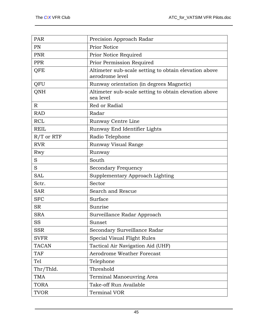| PAR            | Precision Approach Radar                                                 |
|----------------|--------------------------------------------------------------------------|
| PN             | <b>Prior Notice</b>                                                      |
| PNR            | Prior Notice Required                                                    |
| <b>PPR</b>     | Prior Permission Required                                                |
| <b>QFE</b>     | Altimeter sub-scale setting to obtain elevation above<br>aerodrome level |
| QFU            | Runway orientation (in degrees Magnetic)                                 |
| QNH            | Altimeter sub-scale setting to obtain elevation above<br>sea level       |
| R              | Red or Radial                                                            |
| <b>RAD</b>     | Radar                                                                    |
| <b>RCL</b>     | Runway Centre Line                                                       |
| <b>REIL</b>    | Runway End Identifier Lights                                             |
| $R/T$ or $RTF$ | Radio Telephone                                                          |
| <b>RVR</b>     | Runway Visual Range                                                      |
| Rwy            | Runway                                                                   |
| S              | South                                                                    |
| S              | <b>Secondary Frequency</b>                                               |
| <b>SAL</b>     | Supplementary Approach Lighting                                          |
| Sctr.          | Sector                                                                   |
| <b>SAR</b>     | Search and Rescue                                                        |
| <b>SFC</b>     | Surface                                                                  |
| <b>SR</b>      | Sunrise                                                                  |
| <b>SRA</b>     | Surveillance Radar Approach                                              |
| <b>SS</b>      | Sunset                                                                   |
| <b>SSR</b>     | Secondary Surveillance Radar                                             |
| <b>SVFR</b>    | Special Visual Flight Rules                                              |
| <b>TACAN</b>   | Tactical Air Navigation Aid (UHF)                                        |
| <b>TAF</b>     | Aerodrome Weather Forecast                                               |
| Tel            | Telephone                                                                |
| Thr/Thld.      | Threshold                                                                |
| <b>TMA</b>     | Terminal Manoeuvring Area                                                |
| <b>TORA</b>    | Take-off Run Available                                                   |
| <b>TVOR</b>    | <b>Terminal VOR</b>                                                      |